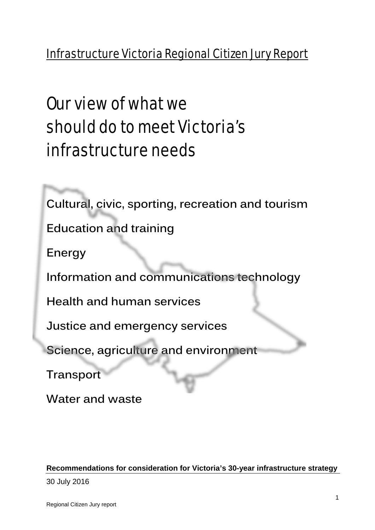# Infrastructure Victoria Regional Citizen Jury Report

# Our view of what we should do to meet Victoria's infrastructure needs

**Cultural, civic, sporting, recreation and tourism**

**Education and training**

**Energy**

**Information and communications technology** 

**Health and human services**

**Justice and emergency services**

**Science, agriculture and environment**

**Transport**

**Water and waste**

#### **Recommendations for consideration for Victoria's 30-year infrastructure strategy**

30 July 2016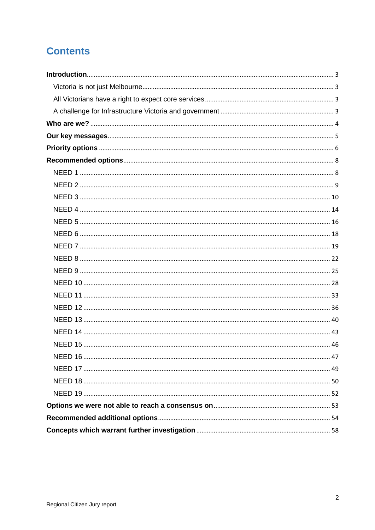## **Contents**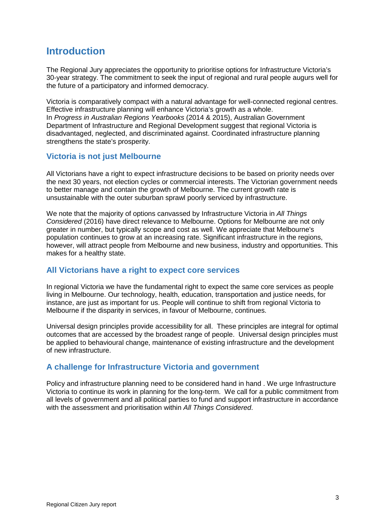## <span id="page-2-0"></span>**Introduction**

The Regional Jury appreciates the opportunity to prioritise options for Infrastructure Victoria's 30-year strategy. The commitment to seek the input of regional and rural people augurs well for the future of a participatory and informed democracy.

Victoria is comparatively compact with a natural advantage for well-connected regional centres. Effective infrastructure planning will enhance Victoria's growth as a whole. In *Progress in Australian Regions Yearbooks* (2014 & 2015), Australian Government Department of Infrastructure and Regional Development suggest that regional Victoria is disadvantaged, neglected, and discriminated against. Coordinated infrastructure planning strengthens the state's prosperity.

#### <span id="page-2-1"></span>**Victoria is not just Melbourne**

All Victorians have a right to expect infrastructure decisions to be based on priority needs over the next 30 years, not election cycles or commercial interests. The Victorian government needs to better manage and contain the growth of Melbourne. The current growth rate is unsustainable with the outer suburban sprawl poorly serviced by infrastructure.

We note that the majority of options canvassed by Infrastructure Victoria in *All Things Considered* (2016) have direct relevance to Melbourne. Options for Melbourne are not only greater in number, but typically scope and cost as well. We appreciate that Melbourne's population continues to grow at an increasing rate. Significant infrastructure in the regions, however, will attract people from Melbourne and new business, industry and opportunities. This makes for a healthy state.

#### <span id="page-2-2"></span>**All Victorians have a right to expect core services**

In regional Victoria we have the fundamental right to expect the same core services as people living in Melbourne. Our technology, health, education, transportation and justice needs, for instance, are just as important for us. People will continue to shift from regional Victoria to Melbourne if the disparity in services, in favour of Melbourne, continues.

Universal design principles provide accessibility for all. These principles are integral for optimal outcomes that are accessed by the broadest range of people. Universal design principles must be applied to behavioural change, maintenance of existing infrastructure and the development of new infrastructure.

#### <span id="page-2-3"></span>**A challenge for Infrastructure Victoria and government**

Policy and infrastructure planning need to be considered hand in hand . We urge Infrastructure Victoria to continue its work in planning for the long-term. We call for a public commitment from all levels of government and all political parties to fund and support infrastructure in accordance with the assessment and prioritisation within *All Things Considered*.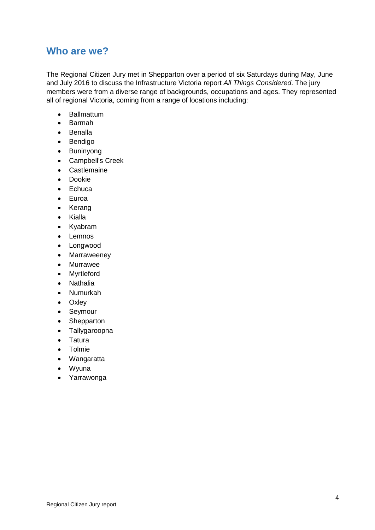#### <span id="page-3-0"></span>**Who are we?**

The Regional Citizen Jury met in Shepparton over a period of six Saturdays during May, June and July 2016 to discuss the Infrastructure Victoria report *All Things Considered*. The jury members were from a diverse range of backgrounds, occupations and ages. They represented all of regional Victoria, coming from a range of locations including:

- Ballmattum<br>• Barmah
- Barmah
- Benalla
- Bendigo
- Buninyong
- Campbell's Creek
- Castlemaine
- Dookie
- Echuca
- Euroa
- Kerang
- Kialla
- Kyabram
- Lemnos
- Longwood
- Marraweeney
- Murrawee
- Myrtleford
- Nathalia
- Numurkah
- Oxley
- Seymour
- Shepparton
- Tallygaroopna
- Tatura
- Tolmie
- Wangaratta
- Wyuna
- Yarrawonga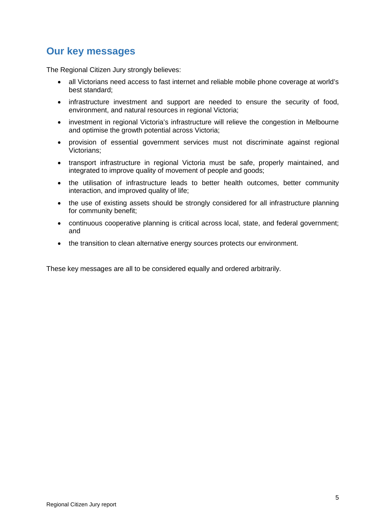## <span id="page-4-0"></span>**Our key messages**

The Regional Citizen Jury strongly believes:

- all Victorians need access to fast internet and reliable mobile phone coverage at world's best standard;
- infrastructure investment and support are needed to ensure the security of food, environment, and natural resources in regional Victoria;
- investment in regional Victoria's infrastructure will relieve the congestion in Melbourne and optimise the growth potential across Victoria;
- provision of essential government services must not discriminate against regional Victorians;
- transport infrastructure in regional Victoria must be safe, properly maintained, and integrated to improve quality of movement of people and goods;
- the utilisation of infrastructure leads to better health outcomes, better community interaction, and improved quality of life;
- the use of existing assets should be strongly considered for all infrastructure planning for community benefit;
- continuous cooperative planning is critical across local, state, and federal government; and
- the transition to clean alternative energy sources protects our environment.

These key messages are all to be considered equally and ordered arbitrarily.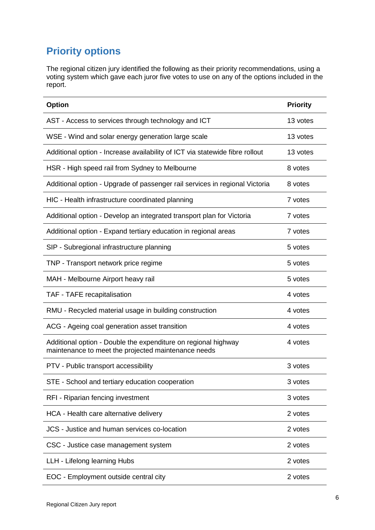# <span id="page-5-0"></span>**Priority options**

The regional citizen jury identified the following as their priority recommendations, using a voting system which gave each juror five votes to use on any of the options included in the report.

| <b>Option</b>                                                                                                         | <b>Priority</b> |
|-----------------------------------------------------------------------------------------------------------------------|-----------------|
| AST - Access to services through technology and ICT                                                                   | 13 votes        |
| WSE - Wind and solar energy generation large scale                                                                    | 13 votes        |
| Additional option - Increase availability of ICT via statewide fibre rollout                                          | 13 votes        |
| HSR - High speed rail from Sydney to Melbourne                                                                        | 8 votes         |
| Additional option - Upgrade of passenger rail services in regional Victoria                                           | 8 votes         |
| HIC - Health infrastructure coordinated planning                                                                      | 7 votes         |
| Additional option - Develop an integrated transport plan for Victoria                                                 | 7 votes         |
| Additional option - Expand tertiary education in regional areas                                                       | 7 votes         |
| SIP - Subregional infrastructure planning                                                                             | 5 votes         |
| TNP - Transport network price regime                                                                                  | 5 votes         |
| MAH - Melbourne Airport heavy rail                                                                                    | 5 votes         |
| TAF - TAFE recapitalisation                                                                                           | 4 votes         |
| RMU - Recycled material usage in building construction                                                                | 4 votes         |
| ACG - Ageing coal generation asset transition                                                                         | 4 votes         |
| Additional option - Double the expenditure on regional highway<br>maintenance to meet the projected maintenance needs | 4 votes         |
| PTV - Public transport accessibility                                                                                  | 3 votes         |
| STE - School and tertiary education cooperation                                                                       | 3 votes         |
| RFI - Riparian fencing investment                                                                                     | 3 votes         |
| HCA - Health care alternative delivery                                                                                | 2 votes         |
| JCS - Justice and human services co-location                                                                          | 2 votes         |
| CSC - Justice case management system                                                                                  | 2 votes         |
| LLH - Lifelong learning Hubs                                                                                          | 2 votes         |
| EOC - Employment outside central city                                                                                 | 2 votes         |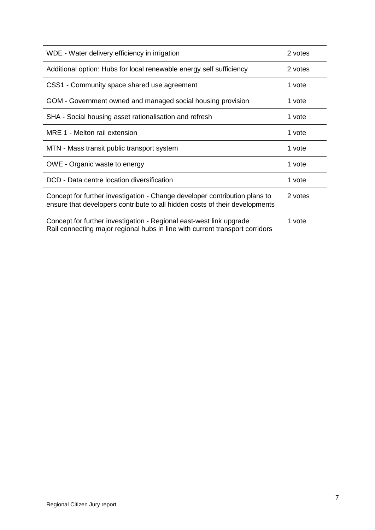| WDE - Water delivery efficiency in irrigation                                                                                                             | 2 votes |
|-----------------------------------------------------------------------------------------------------------------------------------------------------------|---------|
| Additional option: Hubs for local renewable energy self sufficiency                                                                                       | 2 votes |
| CSS1 - Community space shared use agreement                                                                                                               | 1 vote  |
| GOM - Government owned and managed social housing provision                                                                                               | 1 vote  |
| SHA - Social housing asset rationalisation and refresh                                                                                                    | 1 vote  |
| MRE 1 - Melton rail extension                                                                                                                             | 1 vote  |
| MTN - Mass transit public transport system                                                                                                                | 1 vote  |
| OWE - Organic waste to energy                                                                                                                             | 1 vote  |
| DCD - Data centre location diversification                                                                                                                | 1 vote  |
| Concept for further investigation - Change developer contribution plans to<br>ensure that developers contribute to all hidden costs of their developments | 2 votes |
| Concept for further investigation - Regional east-west link upgrade<br>Rail connecting major regional hubs in line with current transport corridors       | 1 vote  |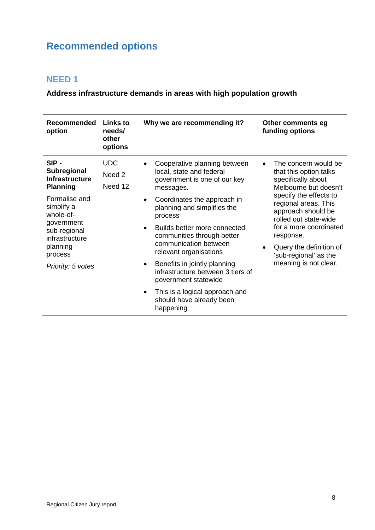## <span id="page-7-0"></span>**Recommended options**

#### <span id="page-7-1"></span>**NEED 1**

**Address infrastructure demands in areas with high population growth**

| <b>Recommended</b><br>option                                                                                                                                                                                   | <b>Links to</b><br>needs/<br>other<br>options | Why we are recommending it?                                                                                                                                                                                                                                                                                                                                                                                                                                                                                                 | Other comments eg<br>funding options                                                                                                                                                                                                                                                                               |
|----------------------------------------------------------------------------------------------------------------------------------------------------------------------------------------------------------------|-----------------------------------------------|-----------------------------------------------------------------------------------------------------------------------------------------------------------------------------------------------------------------------------------------------------------------------------------------------------------------------------------------------------------------------------------------------------------------------------------------------------------------------------------------------------------------------------|--------------------------------------------------------------------------------------------------------------------------------------------------------------------------------------------------------------------------------------------------------------------------------------------------------------------|
| SIP-<br><b>Subregional</b><br><b>Infrastructure</b><br><b>Planning</b><br>Formalise and<br>simplify a<br>whole-of-<br>government<br>sub-regional<br>infrastructure<br>planning<br>process<br>Priority: 5 votes | <b>UDC</b><br>Need 2<br>Need 12               | Cooperative planning between<br>local, state and federal<br>government is one of our key<br>messages.<br>Coordinates the approach in<br>$\bullet$<br>planning and simplifies the<br>process<br>Builds better more connected<br>$\bullet$<br>communities through better<br>communication between<br>relevant organisations<br>Benefits in jointly planning<br>$\bullet$<br>infrastructure between 3 tiers of<br>government statewide<br>This is a logical approach and<br>$\bullet$<br>should have already been<br>happening | The concern would be<br>that this option talks<br>specifically about<br>Melbourne but doesn't<br>specify the effects to<br>regional areas. This<br>approach should be<br>rolled out state-wide<br>for a more coordinated<br>response.<br>Query the definition of<br>'sub-regional' as the<br>meaning is not clear. |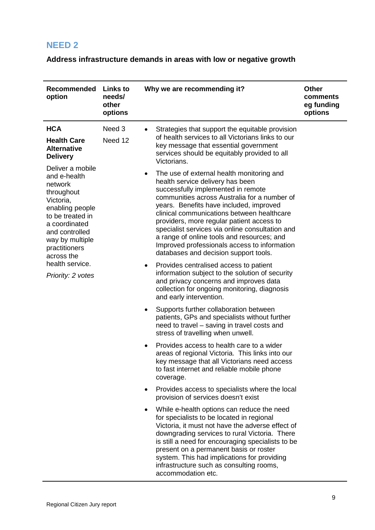## <span id="page-8-0"></span>**Address infrastructure demands in areas with low or negative growth**

| <b>Recommended</b><br>option                                                                                                                                                                                                               | <b>Links to</b><br>needs/<br>other<br>options | Why we are recommending it?                                                                                                                                                                                                                                                                                                                                                                                               | <b>Other</b><br>comments<br>eg funding<br>options                                                                                                                                                                                                                                                                                                                                                                                                                                                                |  |
|--------------------------------------------------------------------------------------------------------------------------------------------------------------------------------------------------------------------------------------------|-----------------------------------------------|---------------------------------------------------------------------------------------------------------------------------------------------------------------------------------------------------------------------------------------------------------------------------------------------------------------------------------------------------------------------------------------------------------------------------|------------------------------------------------------------------------------------------------------------------------------------------------------------------------------------------------------------------------------------------------------------------------------------------------------------------------------------------------------------------------------------------------------------------------------------------------------------------------------------------------------------------|--|
| <b>HCA</b><br><b>Health Care</b><br><b>Alternative</b><br><b>Delivery</b>                                                                                                                                                                  | Need 3<br>Need 12                             | Strategies that support the equitable provision<br>of health services to all Victorians links to our<br>key message that essential government<br>services should be equitably provided to all<br>Victorians.                                                                                                                                                                                                              |                                                                                                                                                                                                                                                                                                                                                                                                                                                                                                                  |  |
| Deliver a mobile<br>and e-health<br>network<br>throughout<br>Victoria,<br>enabling people<br>to be treated in<br>a coordinated<br>and controlled<br>way by multiple<br>practitioners<br>across the<br>health service.<br>Priority: 2 votes |                                               |                                                                                                                                                                                                                                                                                                                                                                                                                           | The use of external health monitoring and<br>$\bullet$<br>health service delivery has been<br>successfully implemented in remote<br>communities across Australia for a number of<br>years. Benefits have included, improved<br>clinical communications between healthcare<br>providers, more regular patient access to<br>specialist services via online consultation and<br>a range of online tools and resources; and<br>Improved professionals access to information<br>databases and decision support tools. |  |
|                                                                                                                                                                                                                                            |                                               | Provides centralised access to patient<br>٠<br>information subject to the solution of security<br>and privacy concerns and improves data<br>collection for ongoing monitoring, diagnosis<br>and early intervention.                                                                                                                                                                                                       |                                                                                                                                                                                                                                                                                                                                                                                                                                                                                                                  |  |
|                                                                                                                                                                                                                                            |                                               | Supports further collaboration between<br>$\bullet$<br>patients, GPs and specialists without further<br>need to travel - saving in travel costs and<br>stress of travelling when unwell.                                                                                                                                                                                                                                  |                                                                                                                                                                                                                                                                                                                                                                                                                                                                                                                  |  |
|                                                                                                                                                                                                                                            |                                               | Provides access to health care to a wider<br>$\bullet$<br>areas of regional Victoria. This links into our<br>key message that all Victorians need access<br>to fast internet and reliable mobile phone<br>coverage.                                                                                                                                                                                                       |                                                                                                                                                                                                                                                                                                                                                                                                                                                                                                                  |  |
|                                                                                                                                                                                                                                            |                                               | Provides access to specialists where the local<br>$\bullet$<br>provision of services doesn't exist                                                                                                                                                                                                                                                                                                                        |                                                                                                                                                                                                                                                                                                                                                                                                                                                                                                                  |  |
|                                                                                                                                                                                                                                            |                                               | While e-health options can reduce the need<br>$\bullet$<br>for specialists to be located in regional<br>Victoria, it must not have the adverse effect of<br>downgrading services to rural Victoria. There<br>is still a need for encouraging specialists to be<br>present on a permanent basis or roster<br>system. This had implications for providing<br>infrastructure such as consulting rooms,<br>accommodation etc. |                                                                                                                                                                                                                                                                                                                                                                                                                                                                                                                  |  |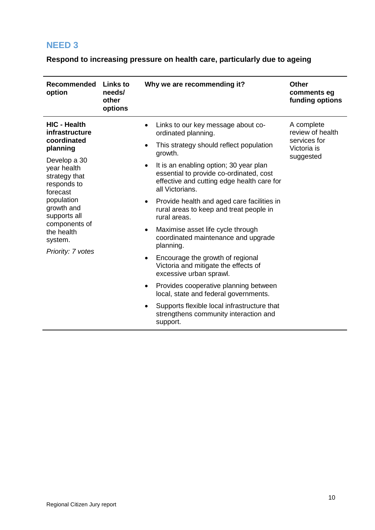#### <span id="page-9-0"></span>**Respond to increasing pressure on health care, particularly due to ageing**

| <b>Recommended</b><br>option                                                                                                                                                                                                                           | <b>Links to</b><br>needs/<br>other<br>options | Why we are recommending it?                                                                                                                                                                                                                                                                                                                                                                                                                                                                                                                                                                                                                                                                                                                                                                                                     | <b>Other</b><br>comments eg<br>funding options                             |
|--------------------------------------------------------------------------------------------------------------------------------------------------------------------------------------------------------------------------------------------------------|-----------------------------------------------|---------------------------------------------------------------------------------------------------------------------------------------------------------------------------------------------------------------------------------------------------------------------------------------------------------------------------------------------------------------------------------------------------------------------------------------------------------------------------------------------------------------------------------------------------------------------------------------------------------------------------------------------------------------------------------------------------------------------------------------------------------------------------------------------------------------------------------|----------------------------------------------------------------------------|
| <b>HIC - Health</b><br>infrastructure<br>coordinated<br>planning<br>Develop a 30<br>year health<br>strategy that<br>responds to<br>forecast<br>population<br>growth and<br>supports all<br>components of<br>the health<br>system.<br>Priority: 7 votes |                                               | Links to our key message about co-<br>$\bullet$<br>ordinated planning.<br>This strategy should reflect population<br>٠<br>growth.<br>It is an enabling option; 30 year plan<br>$\bullet$<br>essential to provide co-ordinated, cost<br>effective and cutting edge health care for<br>all Victorians.<br>Provide health and aged care facilities in<br>٠<br>rural areas to keep and treat people in<br>rural areas.<br>Maximise asset life cycle through<br>٠<br>coordinated maintenance and upgrade<br>planning.<br>Encourage the growth of regional<br>٠<br>Victoria and mitigate the effects of<br>excessive urban sprawl.<br>Provides cooperative planning between<br>$\bullet$<br>local, state and federal governments.<br>Supports flexible local infrastructure that<br>strengthens community interaction and<br>support. | A complete<br>review of health<br>services for<br>Victoria is<br>suggested |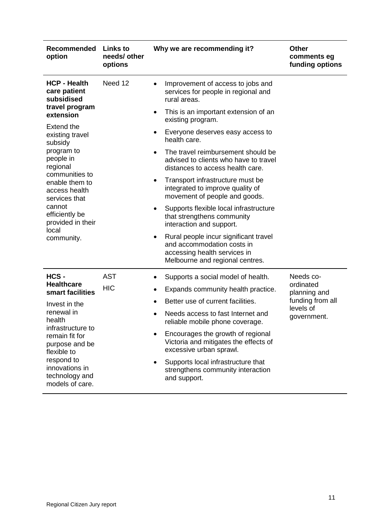| Recommended<br>option                                                                                                                                                             | Links to<br>needs/ other<br>options | Why we are recommending it?                                                                                                                         | <b>Other</b><br>comments eg<br>funding options |
|-----------------------------------------------------------------------------------------------------------------------------------------------------------------------------------|-------------------------------------|-----------------------------------------------------------------------------------------------------------------------------------------------------|------------------------------------------------|
| <b>HCP - Health</b><br>care patient<br>subsidised                                                                                                                                 | Need 12                             | Improvement of access to jobs and<br>services for people in regional and<br>rural areas.                                                            |                                                |
| travel program<br>extension                                                                                                                                                       |                                     | This is an important extension of an<br>$\bullet$<br>existing program.                                                                              |                                                |
| <b>Extend the</b><br>existing travel<br>subsidy                                                                                                                                   |                                     | Everyone deserves easy access to<br>٠<br>health care.                                                                                               |                                                |
| program to<br>people in<br>regional<br>communities to<br>enable them to<br>access health<br>services that<br>cannot<br>efficiently be<br>provided in their<br>local<br>community. |                                     | The travel reimbursement should be<br>advised to clients who have to travel<br>distances to access health care.                                     |                                                |
|                                                                                                                                                                                   |                                     | Transport infrastructure must be<br>$\bullet$<br>integrated to improve quality of<br>movement of people and goods.                                  |                                                |
|                                                                                                                                                                                   |                                     | Supports flexible local infrastructure<br>٠<br>that strengthens community<br>interaction and support.                                               |                                                |
|                                                                                                                                                                                   |                                     | Rural people incur significant travel<br>$\bullet$<br>and accommodation costs in<br>accessing health services in<br>Melbourne and regional centres. |                                                |
| HCS-                                                                                                                                                                              | <b>AST</b>                          | Supports a social model of health.                                                                                                                  | Needs co-                                      |
| <b>Healthcare</b><br>smart facilities                                                                                                                                             | <b>HIC</b>                          | Expands community health practice.<br>٠                                                                                                             | ordinated<br>planning and                      |
| Invest in the                                                                                                                                                                     |                                     | Better use of current facilities.                                                                                                                   | funding from all<br>levels of                  |
| renewal in<br>health<br>infrastructure to<br>remain fit for<br>purpose and be<br>flexible to                                                                                      |                                     | Needs access to fast Internet and<br>reliable mobile phone coverage.                                                                                | government.                                    |
|                                                                                                                                                                                   |                                     | Encourages the growth of regional<br>Victoria and mitigates the effects of<br>excessive urban sprawl.                                               |                                                |
| respond to<br>innovations in<br>technology and<br>models of care.                                                                                                                 |                                     | Supports local infrastructure that<br>strengthens community interaction<br>and support.                                                             |                                                |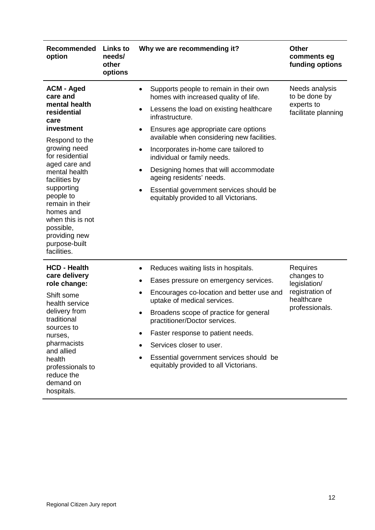| <b>Recommended</b><br>option                                                                                                                                                                                                                                                                                                             | <b>Links to</b><br>needs/<br>other<br>options | Why we are recommending it?                                                                                                                                                                                                                                                                                                                                                                                                                                                                                                                | <b>Other</b><br>comments eg<br>funding options                                            |
|------------------------------------------------------------------------------------------------------------------------------------------------------------------------------------------------------------------------------------------------------------------------------------------------------------------------------------------|-----------------------------------------------|--------------------------------------------------------------------------------------------------------------------------------------------------------------------------------------------------------------------------------------------------------------------------------------------------------------------------------------------------------------------------------------------------------------------------------------------------------------------------------------------------------------------------------------------|-------------------------------------------------------------------------------------------|
| <b>ACM - Aged</b><br>care and<br>mental health<br>residential<br>care<br>investment<br>Respond to the<br>growing need<br>for residential<br>aged care and<br>mental health<br>facilities by<br>supporting<br>people to<br>remain in their<br>homes and<br>when this is not<br>possible,<br>providing new<br>purpose-built<br>facilities. |                                               | Supports people to remain in their own<br>$\bullet$<br>homes with increased quality of life.<br>Lessens the load on existing healthcare<br>$\bullet$<br>infrastructure.<br>Ensures age appropriate care options<br>$\bullet$<br>available when considering new facilities.<br>Incorporates in-home care tailored to<br>$\bullet$<br>individual or family needs.<br>Designing homes that will accommodate<br>$\bullet$<br>ageing residents' needs.<br>Essential government services should be<br>٠<br>equitably provided to all Victorians. | Needs analysis<br>to be done by<br>experts to<br>facilitate planning                      |
| <b>HCD - Health</b><br>care delivery<br>role change:<br>Shift some<br>health service<br>delivery from<br>traditional<br>sources to<br>nurses,<br>pharmacists<br>and allied<br>health<br>professionals to<br>reduce the<br>demand on<br>hospitals.                                                                                        |                                               | Reduces waiting lists in hospitals.<br>$\bullet$<br>Eases pressure on emergency services.<br>$\bullet$<br>Encourages co-location and better use and<br>٠<br>uptake of medical services.<br>Broadens scope of practice for general<br>$\bullet$<br>practitioner/Doctor services.<br>Faster response to patient needs.<br>Services closer to user.<br>Essential government services should be<br>equitably provided to all Victorians.                                                                                                       | Requires<br>changes to<br>legislation/<br>registration of<br>healthcare<br>professionals. |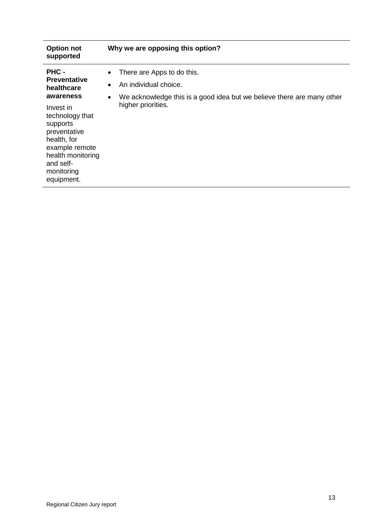| <b>Option not</b><br>supported                                                                                                                          | Why we are opposing this option?                                                                                                                             |
|---------------------------------------------------------------------------------------------------------------------------------------------------------|--------------------------------------------------------------------------------------------------------------------------------------------------------------|
| PHC -<br><b>Preventative</b><br>healthcare<br>awareness                                                                                                 | There are Apps to do this.<br>$\bullet$<br>An individual choice.<br>٠<br>We acknowledge this is a good idea but we believe there are many other<br>$\bullet$ |
| Invest in<br>technology that<br>supports<br>preventative<br>health, for<br>example remote<br>health monitoring<br>and self-<br>monitoring<br>equipment. | higher priorities.                                                                                                                                           |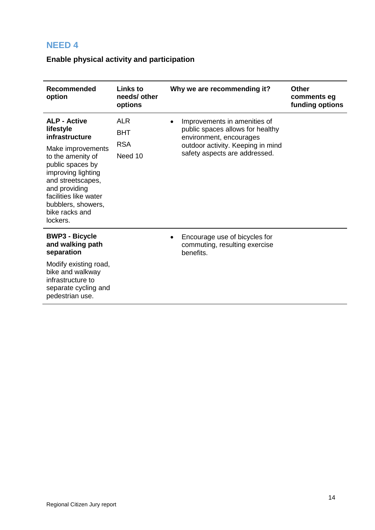## <span id="page-13-0"></span>**Enable physical activity and participation**

| <b>Recommended</b><br>option                                                                                                                                                                                                                              | <b>Links to</b><br>needs/ other<br>options        | Why we are recommending it?                                                                                                                                       | <b>Other</b><br>comments eg<br>funding options |
|-----------------------------------------------------------------------------------------------------------------------------------------------------------------------------------------------------------------------------------------------------------|---------------------------------------------------|-------------------------------------------------------------------------------------------------------------------------------------------------------------------|------------------------------------------------|
| <b>ALP - Active</b><br>lifestyle<br>infrastructure<br>Make improvements<br>to the amenity of<br>public spaces by<br>improving lighting<br>and streetscapes,<br>and providing<br>facilities like water<br>bubblers, showers,<br>bike racks and<br>lockers. | <b>ALR</b><br><b>BHT</b><br><b>RSA</b><br>Need 10 | Improvements in amenities of<br>public spaces allows for healthy<br>environment, encourages<br>outdoor activity. Keeping in mind<br>safety aspects are addressed. |                                                |
| <b>BWP3 - Bicycle</b><br>and walking path<br>separation<br>Modify existing road,<br>bike and walkway<br>infrastructure to<br>separate cycling and<br>pedestrian use.                                                                                      |                                                   | Encourage use of bicycles for<br>commuting, resulting exercise<br>benefits.                                                                                       |                                                |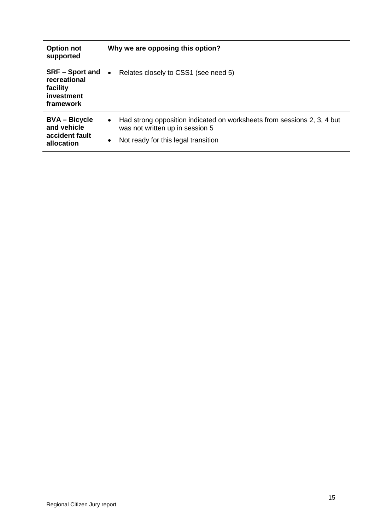| <b>Option not</b><br>supported                                      | Why we are opposing this option?                                                                                                                                    |
|---------------------------------------------------------------------|---------------------------------------------------------------------------------------------------------------------------------------------------------------------|
| recreational<br>facility<br>investment<br>framework                 | $SRF -$ Sport and $\bullet$ Relates closely to CSS1 (see need 5)                                                                                                    |
| <b>BVA – Bicycle</b><br>and vehicle<br>accident fault<br>allocation | Had strong opposition indicated on worksheets from sessions 2, 3, 4 but<br>$\bullet$<br>was not written up in session 5<br>Not ready for this legal transition<br>٠ |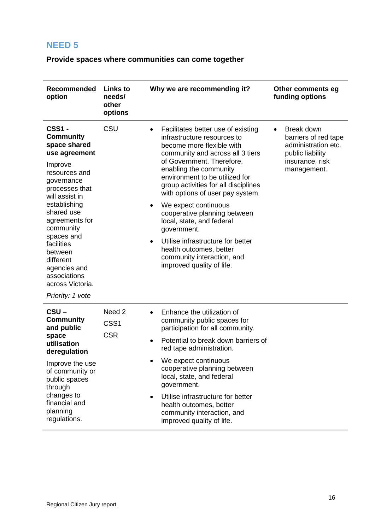<span id="page-15-0"></span>**Provide spaces where communities can come together**

| <b>Recommended</b><br>option                                                                                                                                                                                                                                                                                                              | <b>Links to</b><br>needs/<br>other<br>options       | Why we are recommending it?                                                                                                                                                                                                                                                                                                                                                                                                                                                                                                                                     | Other comments eg<br>funding options                                                                            |
|-------------------------------------------------------------------------------------------------------------------------------------------------------------------------------------------------------------------------------------------------------------------------------------------------------------------------------------------|-----------------------------------------------------|-----------------------------------------------------------------------------------------------------------------------------------------------------------------------------------------------------------------------------------------------------------------------------------------------------------------------------------------------------------------------------------------------------------------------------------------------------------------------------------------------------------------------------------------------------------------|-----------------------------------------------------------------------------------------------------------------|
| <b>CSS1 -</b><br><b>Community</b><br>space shared<br>use agreement<br>Improve<br>resources and<br>governance<br>processes that<br>will assist in<br>establishing<br>shared use<br>agreements for<br>community<br>spaces and<br>facilities<br>between<br>different<br>agencies and<br>associations<br>across Victoria.<br>Priority: 1 vote | CSU                                                 | Facilitates better use of existing<br>infrastructure resources to<br>become more flexible with<br>community and across all 3 tiers<br>of Government. Therefore,<br>enabling the community<br>environment to be utilized for<br>group activities for all disciplines<br>with options of user pay system<br>We expect continuous<br>$\bullet$<br>cooperative planning between<br>local, state, and federal<br>government.<br>Utilise infrastructure for better<br>$\bullet$<br>health outcomes, better<br>community interaction, and<br>improved quality of life. | Break down<br>barriers of red tape<br>administration etc.<br>public liability<br>insurance, risk<br>management. |
| $CSU -$<br><b>Community</b><br>and public<br>space<br>utilisation<br>deregulation<br>Improve the use<br>of community or<br>public spaces<br>through<br>changes to<br>financial and<br>planning<br>regulations.                                                                                                                            | Need <sub>2</sub><br>CSS <sub>1</sub><br><b>CSR</b> | Enhance the utilization of<br>$\bullet$<br>community public spaces for<br>participation for all community.<br>Potential to break down barriers of<br>$\bullet$<br>red tape administration.<br>We expect continuous<br>cooperative planning between<br>local, state, and federal<br>government.<br>Utilise infrastructure for better<br>health outcomes, better<br>community interaction, and<br>improved quality of life.                                                                                                                                       |                                                                                                                 |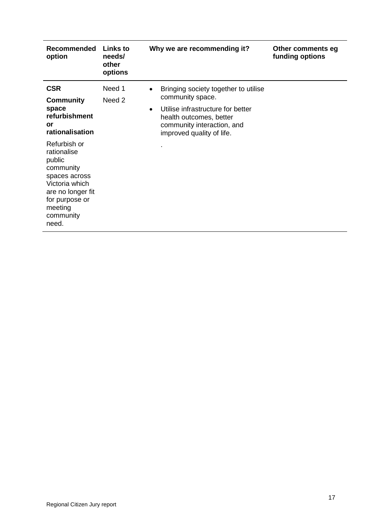| <b>Recommended</b><br>option                                                                                                                                  | Links to<br>needs/<br>other<br>options | Why we are recommending it?                                                                                                                                                                                   | Other comments eg<br>funding options |
|---------------------------------------------------------------------------------------------------------------------------------------------------------------|----------------------------------------|---------------------------------------------------------------------------------------------------------------------------------------------------------------------------------------------------------------|--------------------------------------|
| <b>CSR</b><br><b>Community</b><br>space<br>refurbishment<br>or<br>rationalisation                                                                             | Need 1<br>Need 2                       | Bringing society together to utilise<br>$\bullet$<br>community space.<br>Utilise infrastructure for better<br>$\bullet$<br>health outcomes, better<br>community interaction, and<br>improved quality of life. |                                      |
| Refurbish or<br>rationalise<br>public<br>community<br>spaces across<br>Victoria which<br>are no longer fit<br>for purpose or<br>meeting<br>community<br>need. |                                        |                                                                                                                                                                                                               |                                      |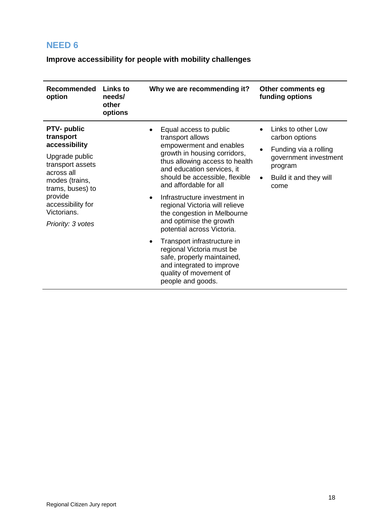<span id="page-17-0"></span>**Improve accessibility for people with mobility challenges**

| Recommended<br>option                                                                                                                                                                                          | <b>Links to</b><br>needs/<br>other<br>options | Why we are recommending it?                                                                                                                                                                                                                                                                                                                                                                                                                                                                                                                  | Other comments eg<br>funding options                                                                                                |
|----------------------------------------------------------------------------------------------------------------------------------------------------------------------------------------------------------------|-----------------------------------------------|----------------------------------------------------------------------------------------------------------------------------------------------------------------------------------------------------------------------------------------------------------------------------------------------------------------------------------------------------------------------------------------------------------------------------------------------------------------------------------------------------------------------------------------------|-------------------------------------------------------------------------------------------------------------------------------------|
| <b>PTV-</b> public<br>transport<br>accessibility<br>Upgrade public<br>transport assets<br>across all<br>modes (trains,<br>trams, buses) to<br>provide<br>accessibility for<br>Victorians.<br>Priority: 3 votes |                                               | Equal access to public<br>transport allows<br>empowerment and enables<br>growth in housing corridors,<br>thus allowing access to health<br>and education services, it<br>should be accessible, flexible<br>and affordable for all<br>Infrastructure investment in<br>regional Victoria will relieve<br>the congestion in Melbourne<br>and optimise the growth<br>potential across Victoria.<br>Transport infrastructure in<br>regional Victoria must be<br>safe, properly maintained,<br>and integrated to improve<br>quality of movement of | Links to other Low<br>carbon options<br>Funding via a rolling<br>government investment<br>program<br>Build it and they will<br>come |
|                                                                                                                                                                                                                |                                               | people and goods.                                                                                                                                                                                                                                                                                                                                                                                                                                                                                                                            |                                                                                                                                     |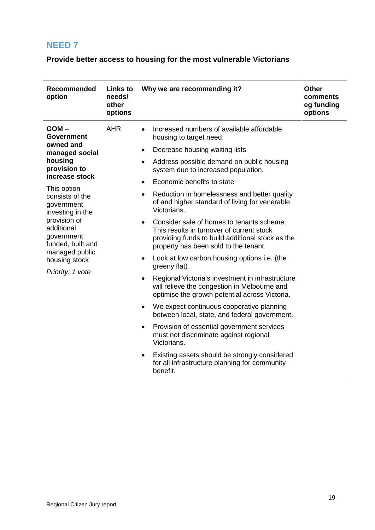<span id="page-18-0"></span>**Provide better access to housing for the most vulnerable Victorians**

| <b>Recommended</b><br>option                                                                                                                                                                                                                                                                         | <b>Links to</b><br>needs/<br>other<br>options | Why we are recommending it?                                                                                                                                                                                                                                                                                                                                                                                                                                                                                                                                                                                                                                                                                                                                                                                                                                                                                                                                                                                                                                                                 | <b>Other</b><br>comments<br>eg funding<br>options |
|------------------------------------------------------------------------------------------------------------------------------------------------------------------------------------------------------------------------------------------------------------------------------------------------------|-----------------------------------------------|---------------------------------------------------------------------------------------------------------------------------------------------------------------------------------------------------------------------------------------------------------------------------------------------------------------------------------------------------------------------------------------------------------------------------------------------------------------------------------------------------------------------------------------------------------------------------------------------------------------------------------------------------------------------------------------------------------------------------------------------------------------------------------------------------------------------------------------------------------------------------------------------------------------------------------------------------------------------------------------------------------------------------------------------------------------------------------------------|---------------------------------------------------|
| $GOM -$<br><b>Government</b><br>owned and<br>managed social<br>housing<br>provision to<br>increase stock<br>This option<br>consists of the<br>government<br>investing in the<br>provision of<br>additional<br>government<br>funded, built and<br>managed public<br>housing stock<br>Priority: 1 vote | <b>AHR</b>                                    | Increased numbers of available affordable<br>housing to target need.<br>Decrease housing waiting lists<br>٠<br>Address possible demand on public housing<br>system due to increased population.<br>Economic benefits to state<br>Reduction in homelessness and better quality<br>$\bullet$<br>of and higher standard of living for venerable<br>Victorians.<br>Consider sale of homes to tenants scheme.<br>This results in turnover of current stock<br>providing funds to build additional stock as the<br>property has been sold to the tenant.<br>Look at low carbon housing options i.e. (the<br>greeny flat)<br>Regional Victoria's investment in infrastructure<br>will relieve the congestion in Melbourne and<br>optimise the growth potential across Victoria.<br>We expect continuous cooperative planning<br>between local, state, and federal government.<br>Provision of essential government services<br>must not discriminate against regional<br>Victorians.<br>Existing assets should be strongly considered<br>for all infrastructure planning for community<br>benefit. |                                                   |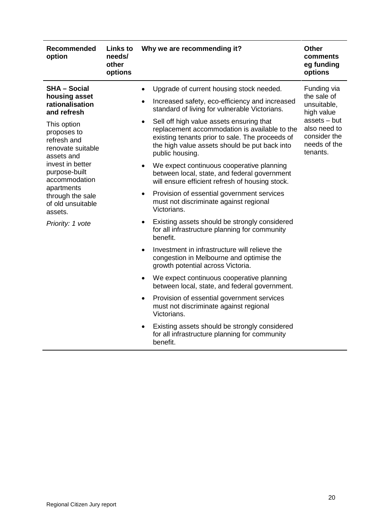| Recommended<br>option                                                        | <b>Links to</b><br>needs/<br>other<br>options | Why we are recommending it?                                                                                                                                                                                      | <b>Other</b><br>comments<br>eg funding<br>options                        |
|------------------------------------------------------------------------------|-----------------------------------------------|------------------------------------------------------------------------------------------------------------------------------------------------------------------------------------------------------------------|--------------------------------------------------------------------------|
| <b>SHA - Social</b><br>housing asset<br>rationalisation<br>and refresh       |                                               | Upgrade of current housing stock needed.<br>Increased safety, eco-efficiency and increased<br>standard of living for vulnerable Victorians.                                                                      | Funding via<br>the sale of<br>unsuitable,<br>high value                  |
| This option<br>proposes to<br>refresh and<br>renovate suitable<br>assets and |                                               | Sell off high value assets ensuring that<br>replacement accommodation is available to the<br>existing tenants prior to sale. The proceeds of<br>the high value assets should be put back into<br>public housing. | assets - but<br>also need to<br>consider the<br>needs of the<br>tenants. |
| invest in better<br>purpose-built<br>accommodation                           |                                               | We expect continuous cooperative planning<br>between local, state, and federal government<br>will ensure efficient refresh of housing stock.                                                                     |                                                                          |
| apartments<br>through the sale<br>of old unsuitable<br>assets.               |                                               | Provision of essential government services<br>$\bullet$<br>must not discriminate against regional<br>Victorians.                                                                                                 |                                                                          |
| Priority: 1 vote                                                             |                                               | Existing assets should be strongly considered<br>$\bullet$<br>for all infrastructure planning for community<br>benefit.                                                                                          |                                                                          |
|                                                                              |                                               | Investment in infrastructure will relieve the<br>congestion in Melbourne and optimise the<br>growth potential across Victoria.                                                                                   |                                                                          |
|                                                                              |                                               | We expect continuous cooperative planning<br>$\bullet$<br>between local, state, and federal government.                                                                                                          |                                                                          |
|                                                                              |                                               | Provision of essential government services<br>$\bullet$<br>must not discriminate against regional<br>Victorians.                                                                                                 |                                                                          |
|                                                                              |                                               | Existing assets should be strongly considered<br>$\bullet$<br>for all infrastructure planning for community<br>benefit.                                                                                          |                                                                          |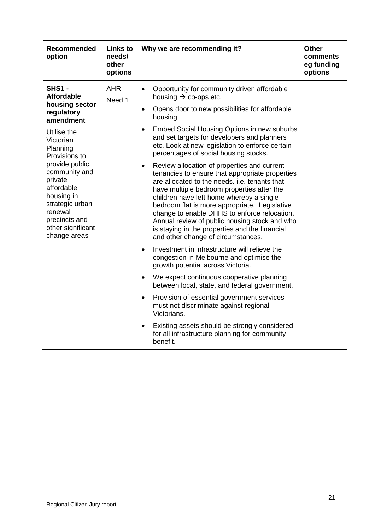| Recommended<br>option                                                                                                                                       | <b>Links to</b><br>needs/<br>other<br>options                                                   | Why we are recommending it?                                                                                                                                                                                                                                                                                                                                                                                                                                                                      | <b>Other</b><br>comments<br>eg funding<br>options |
|-------------------------------------------------------------------------------------------------------------------------------------------------------------|-------------------------------------------------------------------------------------------------|--------------------------------------------------------------------------------------------------------------------------------------------------------------------------------------------------------------------------------------------------------------------------------------------------------------------------------------------------------------------------------------------------------------------------------------------------------------------------------------------------|---------------------------------------------------|
| <b>SHS1 -</b><br><b>Affordable</b><br>housing sector<br>regulatory<br>amendment                                                                             | <b>AHR</b><br>Need 1                                                                            | Opportunity for community driven affordable<br>$\bullet$<br>housing $\rightarrow$ co-ops etc.<br>Opens door to new possibilities for affordable<br>$\bullet$<br>housing                                                                                                                                                                                                                                                                                                                          |                                                   |
| Utilise the<br>Victorian<br>Planning<br>Provisions to                                                                                                       |                                                                                                 | Embed Social Housing Options in new suburbs<br>$\bullet$<br>and set targets for developers and planners<br>etc. Look at new legislation to enforce certain<br>percentages of social housing stocks.                                                                                                                                                                                                                                                                                              |                                                   |
| provide public,<br>community and<br>private<br>affordable<br>housing in<br>strategic urban<br>renewal<br>precincts and<br>other significant<br>change areas |                                                                                                 | Review allocation of properties and current<br>$\bullet$<br>tenancies to ensure that appropriate properties<br>are allocated to the needs, i.e. tenants that<br>have multiple bedroom properties after the<br>children have left home whereby a single<br>bedroom flat is more appropriate. Legislative<br>change to enable DHHS to enforce relocation.<br>Annual review of public housing stock and who<br>is staying in the properties and the financial<br>and other change of circumstances. |                                                   |
|                                                                                                                                                             |                                                                                                 | Investment in infrastructure will relieve the<br>$\bullet$<br>congestion in Melbourne and optimise the<br>growth potential across Victoria.                                                                                                                                                                                                                                                                                                                                                      |                                                   |
|                                                                                                                                                             | We expect continuous cooperative planning<br>٠<br>between local, state, and federal government. |                                                                                                                                                                                                                                                                                                                                                                                                                                                                                                  |                                                   |
|                                                                                                                                                             |                                                                                                 | Provision of essential government services<br>٠<br>must not discriminate against regional<br>Victorians.                                                                                                                                                                                                                                                                                                                                                                                         |                                                   |
|                                                                                                                                                             |                                                                                                 | Existing assets should be strongly considered<br>$\bullet$<br>for all infrastructure planning for community<br>benefit.                                                                                                                                                                                                                                                                                                                                                                          |                                                   |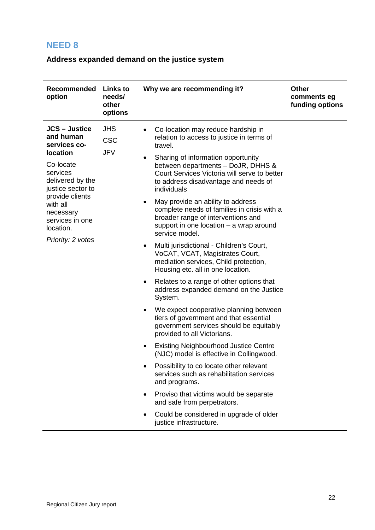#### <span id="page-21-0"></span>**Address expanded demand on the justice system**

| Recommended<br>option                                                                                                                                                                                                                   | <b>Links to</b><br>needs/<br>other<br>options | Why we are recommending it?                                                                                                                                                                                                                                                                                                                                                                                                                                                                                                                                                                                                                                                                                                                                                                                                                                                                                                                                                                                                                                                                                                                                                                                                                                                                       | <b>Other</b><br>comments eg<br>funding options |
|-----------------------------------------------------------------------------------------------------------------------------------------------------------------------------------------------------------------------------------------|-----------------------------------------------|---------------------------------------------------------------------------------------------------------------------------------------------------------------------------------------------------------------------------------------------------------------------------------------------------------------------------------------------------------------------------------------------------------------------------------------------------------------------------------------------------------------------------------------------------------------------------------------------------------------------------------------------------------------------------------------------------------------------------------------------------------------------------------------------------------------------------------------------------------------------------------------------------------------------------------------------------------------------------------------------------------------------------------------------------------------------------------------------------------------------------------------------------------------------------------------------------------------------------------------------------------------------------------------------------|------------------------------------------------|
| <b>JCS - Justice</b><br>and human<br>services co-<br><b>location</b><br>Co-locate<br>services<br>delivered by the<br>justice sector to<br>provide clients<br>with all<br>necessary<br>services in one<br>location.<br>Priority: 2 votes | <b>JHS</b><br><b>CSC</b><br><b>JFV</b>        | Co-location may reduce hardship in<br>relation to access to justice in terms of<br>travel.<br>Sharing of information opportunity<br>$\bullet$<br>between departments - DoJR, DHHS &<br>Court Services Victoria will serve to better<br>to address disadvantage and needs of<br>individuals<br>May provide an ability to address<br>$\bullet$<br>complete needs of families in crisis with a<br>broader range of interventions and<br>support in one location - a wrap around<br>service model.<br>Multi jurisdictional - Children's Court,<br>٠<br>VoCAT, VCAT, Magistrates Court,<br>mediation services, Child protection,<br>Housing etc. all in one location.<br>Relates to a range of other options that<br>٠<br>address expanded demand on the Justice<br>System.<br>We expect cooperative planning between<br>٠<br>tiers of government and that essential<br>government services should be equitably<br>provided to all Victorians.<br><b>Existing Neighbourhood Justice Centre</b><br>٠<br>(NJC) model is effective in Collingwood.<br>Possibility to co locate other relevant<br>services such as rehabilitation services<br>and programs.<br>Proviso that victims would be separate<br>and safe from perpetrators.<br>Could be considered in upgrade of older<br>justice infrastructure. |                                                |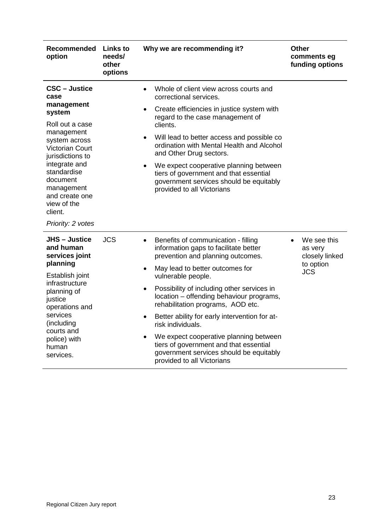| Recommended<br>option                                                                                                                                                                                                                                                           | <b>Links to</b><br>needs/<br>other<br>options | Why we are recommending it?                                                                                                                                                                                                                                                                                                                                                                                                                                                                                                                                                                                   | <b>Other</b><br>comments eg<br>funding options                      |
|---------------------------------------------------------------------------------------------------------------------------------------------------------------------------------------------------------------------------------------------------------------------------------|-----------------------------------------------|---------------------------------------------------------------------------------------------------------------------------------------------------------------------------------------------------------------------------------------------------------------------------------------------------------------------------------------------------------------------------------------------------------------------------------------------------------------------------------------------------------------------------------------------------------------------------------------------------------------|---------------------------------------------------------------------|
| <b>CSC - Justice</b><br>case<br>management<br>system<br>Roll out a case<br>management<br>system across<br><b>Victorian Court</b><br>jurisdictions to<br>integrate and<br>standardise<br>document<br>management<br>and create one<br>view of the<br>client.<br>Priority: 2 votes |                                               | Whole of client view across courts and<br>$\bullet$<br>correctional services.<br>Create efficiencies in justice system with<br>$\bullet$<br>regard to the case management of<br>clients.<br>Will lead to better access and possible co<br>$\bullet$<br>ordination with Mental Health and Alcohol<br>and Other Drug sectors.<br>We expect cooperative planning between<br>$\bullet$<br>tiers of government and that essential<br>government services should be equitably<br>provided to all Victorians                                                                                                         |                                                                     |
| <b>JHS-Justice</b><br>and human<br>services joint<br>planning<br>Establish joint<br>infrastructure<br>planning of<br>justice<br>operations and<br>services<br>(including)<br>courts and<br>police) with<br>human<br>services.                                                   | <b>JCS</b>                                    | Benefits of communication - filling<br>$\bullet$<br>information gaps to facilitate better<br>prevention and planning outcomes.<br>May lead to better outcomes for<br>$\bullet$<br>vulnerable people.<br>Possibility of including other services in<br>$\bullet$<br>location - offending behaviour programs,<br>rehabilitation programs, AOD etc.<br>Better ability for early intervention for at-<br>$\bullet$<br>risk individuals.<br>We expect cooperative planning between<br>$\bullet$<br>tiers of government and that essential<br>government services should be equitably<br>provided to all Victorians | We see this<br>as very<br>closely linked<br>to option<br><b>JCS</b> |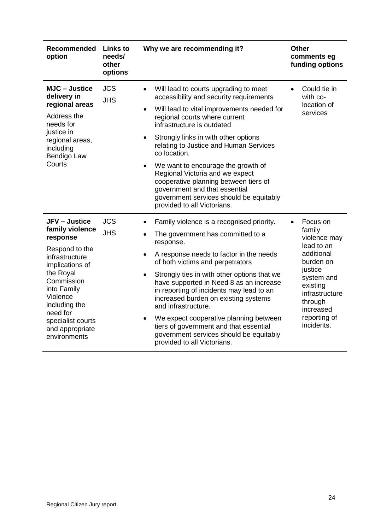| Recommended<br>option                                                                                                                                                                                                                                 | <b>Links to</b><br>needs/<br>other<br>options | Why we are recommending it?                                                                                                                                                                                                                                                                                                                                                                                                                                                                                                                                             | <b>Other</b><br>comments eg<br>funding options                                                                                                                                           |
|-------------------------------------------------------------------------------------------------------------------------------------------------------------------------------------------------------------------------------------------------------|-----------------------------------------------|-------------------------------------------------------------------------------------------------------------------------------------------------------------------------------------------------------------------------------------------------------------------------------------------------------------------------------------------------------------------------------------------------------------------------------------------------------------------------------------------------------------------------------------------------------------------------|------------------------------------------------------------------------------------------------------------------------------------------------------------------------------------------|
| <b>MJC</b> – Justice<br>delivery in<br>regional areas<br>Address the<br>needs for<br>justice in<br>regional areas,<br>including<br>Bendigo Law<br>Courts                                                                                              | <b>JCS</b><br><b>JHS</b>                      | Will lead to courts upgrading to meet<br>$\bullet$<br>accessibility and security requirements<br>Will lead to vital improvements needed for<br>$\bullet$<br>regional courts where current<br>infrastructure is outdated<br>Strongly links in with other options<br>$\bullet$<br>relating to Justice and Human Services<br>co location.<br>We want to encourage the growth of<br>Regional Victoria and we expect<br>cooperative planning between tiers of<br>government and that essential<br>government services should be equitably<br>provided to all Victorians.     | Could tie in<br>$\bullet$<br>with co-<br>location of<br>services                                                                                                                         |
| <b>JFV</b> – Justice<br>family violence<br>response<br>Respond to the<br>infrastructure<br>implications of<br>the Royal<br>Commission<br>into Family<br>Violence<br>including the<br>need for<br>specialist courts<br>and appropriate<br>environments | <b>JCS</b><br><b>JHS</b>                      | Family violence is a recognised priority.<br>The government has committed to a<br>response.<br>A response needs to factor in the needs<br>of both victims and perpetrators<br>Strongly ties in with other options that we<br>$\bullet$<br>have supported in Need 8 as an increase<br>in reporting of incidents may lead to an<br>increased burden on existing systems<br>and infrastructure.<br>We expect cooperative planning between<br>$\bullet$<br>tiers of government and that essential<br>government services should be equitably<br>provided to all Victorians. | Focus on<br>family<br>violence may<br>lead to an<br>additional<br>burden on<br>justice<br>system and<br>existing<br>infrastructure<br>through<br>increased<br>reporting of<br>incidents. |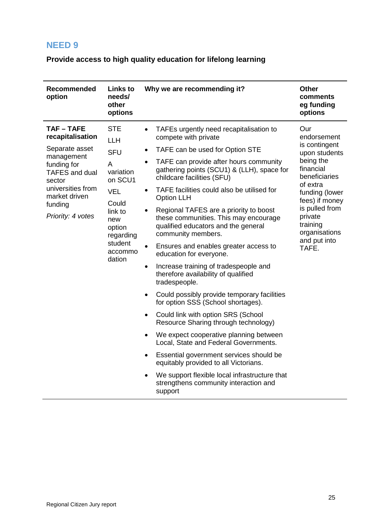<span id="page-24-0"></span>**Provide access to high quality education for lifelong learning**

| <b>Recommended</b><br>Links to<br>needs/<br>option<br>other<br>options                                                                                                                                                                                                                                                                                      | Why we are recommending it?                                                                                                                                                                                                                                                                                                                                                                                                                                                                                                                                                                                                                                                                                                                                                                                                                                                                                                                                                                                                                                                                                                                                                                       | <b>Other</b><br>comments<br>eg funding<br>options                                                                                                                                                                                  |
|-------------------------------------------------------------------------------------------------------------------------------------------------------------------------------------------------------------------------------------------------------------------------------------------------------------------------------------------------------------|---------------------------------------------------------------------------------------------------------------------------------------------------------------------------------------------------------------------------------------------------------------------------------------------------------------------------------------------------------------------------------------------------------------------------------------------------------------------------------------------------------------------------------------------------------------------------------------------------------------------------------------------------------------------------------------------------------------------------------------------------------------------------------------------------------------------------------------------------------------------------------------------------------------------------------------------------------------------------------------------------------------------------------------------------------------------------------------------------------------------------------------------------------------------------------------------------|------------------------------------------------------------------------------------------------------------------------------------------------------------------------------------------------------------------------------------|
| <b>TAF-TAFE</b><br><b>STE</b><br>recapitalisation<br>LLH<br>Separate asset<br><b>SFU</b><br>management<br>funding for<br>A<br>variation<br><b>TAFES</b> and dual<br>on SCU1<br>sector<br>universities from<br><b>VEL</b><br>market driven<br>Could<br>funding<br>link to<br>Priority: 4 votes<br>new<br>option<br>regarding<br>student<br>accommo<br>dation | TAFEs urgently need recapitalisation to<br>$\bullet$<br>compete with private<br>TAFE can be used for Option STE<br>$\bullet$<br>TAFE can provide after hours community<br>gathering points (SCU1) & (LLH), space for<br>childcare facilities (SFU)<br>TAFE facilities could also be utilised for<br>$\bullet$<br><b>Option LLH</b><br>Regional TAFES are a priority to boost<br>$\bullet$<br>these communities. This may encourage<br>qualified educators and the general<br>community members.<br>Ensures and enables greater access to<br>$\bullet$<br>education for everyone.<br>Increase training of tradespeople and<br>$\bullet$<br>therefore availability of qualified<br>tradespeople.<br>Could possibly provide temporary facilities<br>$\bullet$<br>for option SSS (School shortages).<br>Could link with option SRS (School<br>$\bullet$<br>Resource Sharing through technology)<br>We expect cooperative planning between<br>$\bullet$<br>Local, State and Federal Governments.<br>Essential government services should be<br>equitably provided to all Victorians.<br>We support flexible local infrastructure that<br>$\bullet$<br>strengthens community interaction and<br>support | Our<br>endorsement<br>is contingent<br>upon students<br>being the<br>financial<br>beneficiaries<br>of extra<br>funding (lower<br>fees) if money<br>is pulled from<br>private<br>training<br>organisations<br>and put into<br>TAFE. |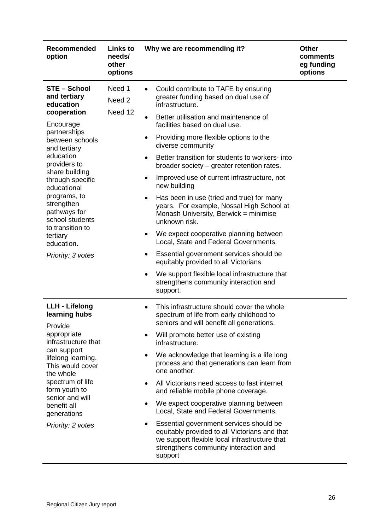| <b>Recommended</b><br>option                                                                                                                                                                                                                                                                                                                          | <b>Links to</b><br>needs/<br>other<br>options | Why we are recommending it?                                                                                                                                                                                                                                                                                                                                                                                                                                                                                                                                                                                                                                                                                                                                                                                                                                                                                                           | <b>Other</b><br>comments<br>eg funding<br>options |
|-------------------------------------------------------------------------------------------------------------------------------------------------------------------------------------------------------------------------------------------------------------------------------------------------------------------------------------------------------|-----------------------------------------------|---------------------------------------------------------------------------------------------------------------------------------------------------------------------------------------------------------------------------------------------------------------------------------------------------------------------------------------------------------------------------------------------------------------------------------------------------------------------------------------------------------------------------------------------------------------------------------------------------------------------------------------------------------------------------------------------------------------------------------------------------------------------------------------------------------------------------------------------------------------------------------------------------------------------------------------|---------------------------------------------------|
| <b>STE - School</b><br>and tertiary<br>education<br>cooperation<br>Encourage<br>partnerships<br>between schools<br>and tertiary<br>education<br>providers to<br>share building<br>through specific<br>educational<br>programs, to<br>strengthen<br>pathways for<br>school students<br>to transition to<br>tertiary<br>education.<br>Priority: 3 votes | Need 1<br>Need 2<br>Need 12                   | Could contribute to TAFE by ensuring<br>$\bullet$<br>greater funding based on dual use of<br>infrastructure.<br>Better utilisation and maintenance of<br>$\bullet$<br>facilities based on dual use.<br>Providing more flexible options to the<br>٠<br>diverse community<br>Better transition for students to workers- into<br>$\bullet$<br>broader society – greater retention rates.<br>Improved use of current infrastructure, not<br>$\bullet$<br>new building<br>Has been in use (tried and true) for many<br>$\bullet$<br>years. For example, Nossal High School at<br>Monash University, Berwick = minimise<br>unknown risk.<br>We expect cooperative planning between<br>٠<br>Local, State and Federal Governments.<br>Essential government services should be<br>٠<br>equitably provided to all Victorians<br>We support flexible local infrastructure that<br>$\bullet$<br>strengthens community interaction and<br>support. |                                                   |
| <b>LLH - Lifelong</b><br>learning hubs<br>Provide<br>appropriate<br>infrastructure that<br>can support<br>lifelong learning.<br>This would cover<br>the whole<br>spectrum of life<br>form youth to<br>senior and will<br>benefit all<br>generations<br>Priority: 2 votes                                                                              |                                               | This infrastructure should cover the whole<br>٠<br>spectrum of life from early childhood to<br>seniors and will benefit all generations.<br>Will promote better use of existing<br>infrastructure.<br>We acknowledge that learning is a life long<br>٠<br>process and that generations can learn from<br>one another.<br>All Victorians need access to fast internet<br>٠<br>and reliable mobile phone coverage.<br>We expect cooperative planning between<br>$\bullet$<br>Local, State and Federal Governments.<br>Essential government services should be<br>equitably provided to all Victorians and that<br>we support flexible local infrastructure that<br>strengthens community interaction and<br>support                                                                                                                                                                                                                     |                                                   |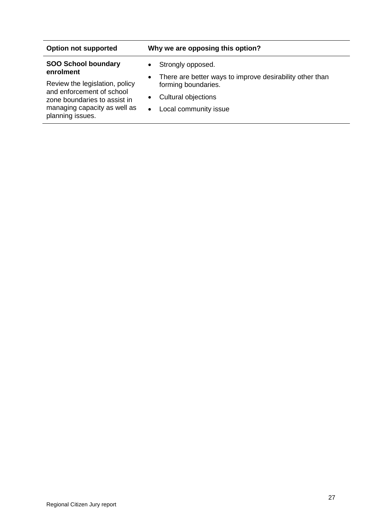| <b>Option not supported</b>                                 | Why we are opposing this option?                                                             |
|-------------------------------------------------------------|----------------------------------------------------------------------------------------------|
| <b>SOO School boundary</b><br>enrolment                     | Strongly opposed.<br>$\bullet$                                                               |
| Review the legislation, policy<br>and enforcement of school | There are better ways to improve desirability other than<br>$\bullet$<br>forming boundaries. |
| zone boundaries to assist in                                | Cultural objections<br>$\bullet$                                                             |
| managing capacity as well as<br>planning issues.            | Local community issue<br>$\bullet$                                                           |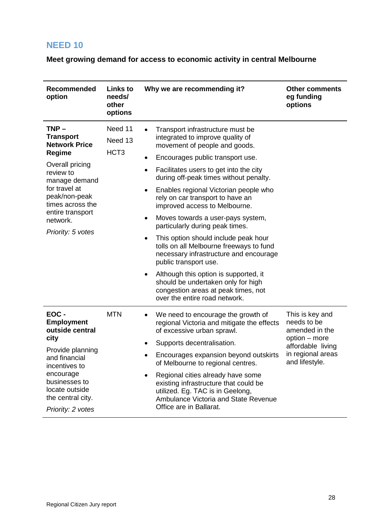<span id="page-27-0"></span>**Meet growing demand for access to economic activity in central Melbourne**

| Recommended<br>option                                                                                                                                                                                                            | <b>Links to</b><br>needs/<br>other<br>options | Why we are recommending it?                                                                                                                                                                                                                                                                                                                                                                                                                                                                                                                                                                                                                                                                                                                                                            | <b>Other comments</b><br>eg funding<br>options                                                                                |
|----------------------------------------------------------------------------------------------------------------------------------------------------------------------------------------------------------------------------------|-----------------------------------------------|----------------------------------------------------------------------------------------------------------------------------------------------------------------------------------------------------------------------------------------------------------------------------------------------------------------------------------------------------------------------------------------------------------------------------------------------------------------------------------------------------------------------------------------------------------------------------------------------------------------------------------------------------------------------------------------------------------------------------------------------------------------------------------------|-------------------------------------------------------------------------------------------------------------------------------|
| $TNP -$<br><b>Transport</b><br><b>Network Price</b><br><b>Regime</b><br>Overall pricing<br>review to<br>manage demand<br>for travel at<br>peak/non-peak<br>times across the<br>entire transport<br>network.<br>Priority: 5 votes | Need 11<br>Need 13<br>HCT <sub>3</sub>        | Transport infrastructure must be<br>integrated to improve quality of<br>movement of people and goods.<br>Encourages public transport use.<br>٠<br>Facilitates users to get into the city<br>$\bullet$<br>during off-peak times without penalty.<br>Enables regional Victorian people who<br>٠<br>rely on car transport to have an<br>improved access to Melbourne.<br>Moves towards a user-pays system,<br>$\bullet$<br>particularly during peak times.<br>This option should include peak hour<br>٠<br>tolls on all Melbourne freeways to fund<br>necessary infrastructure and encourage<br>public transport use.<br>Although this option is supported, it<br>$\bullet$<br>should be undertaken only for high<br>congestion areas at peak times, not<br>over the entire road network. |                                                                                                                               |
| EOC-<br><b>Employment</b><br>outside central<br>city<br>Provide planning<br>and financial<br>incentives to<br>encourage<br>businesses to<br>locate outside<br>the central city.<br>Priority: 2 votes                             | <b>MTN</b>                                    | We need to encourage the growth of<br>$\bullet$<br>regional Victoria and mitigate the effects<br>of excessive urban sprawl.<br>Supports decentralisation.<br>٠<br>Encourages expansion beyond outskirts<br>of Melbourne to regional centres.<br>Regional cities already have some<br>٠<br>existing infrastructure that could be<br>utilized. Eg. TAC is in Geelong,<br>Ambulance Victoria and State Revenue<br>Office are in Ballarat.                                                                                                                                                                                                                                                                                                                                                 | This is key and<br>needs to be<br>amended in the<br>option – more<br>affordable living<br>in regional areas<br>and lifestyle. |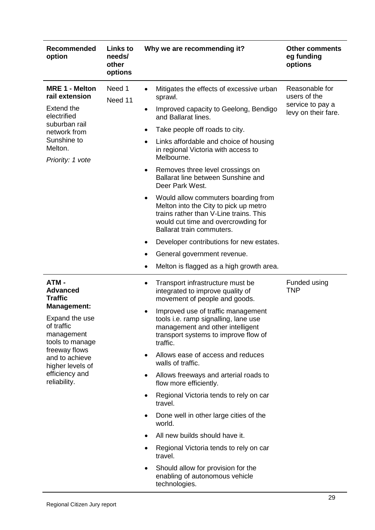| <b>Recommended</b><br>option                                                                                                                                                                                              | <b>Links to</b><br>needs/<br>other<br>options | Why we are recommending it?                                                                                                                                                                                                                                                                                                                                                                                                                                                                                                                                                                                                                                                                                                                               | <b>Other comments</b><br>eg funding<br>options                            |
|---------------------------------------------------------------------------------------------------------------------------------------------------------------------------------------------------------------------------|-----------------------------------------------|-----------------------------------------------------------------------------------------------------------------------------------------------------------------------------------------------------------------------------------------------------------------------------------------------------------------------------------------------------------------------------------------------------------------------------------------------------------------------------------------------------------------------------------------------------------------------------------------------------------------------------------------------------------------------------------------------------------------------------------------------------------|---------------------------------------------------------------------------|
| <b>MRE 1 - Melton</b><br>rail extension<br><b>Extend the</b><br>electrified<br>suburban rail<br>network from<br>Sunshine to<br>Melton.<br>Priority: 1 vote                                                                | Need 1<br>Need 11                             | Mitigates the effects of excessive urban<br>sprawl.<br>Improved capacity to Geelong, Bendigo<br>$\bullet$<br>and Ballarat lines.<br>Take people off roads to city.<br>$\bullet$<br>Links affordable and choice of housing<br>$\bullet$<br>in regional Victoria with access to<br>Melbourne.<br>Removes three level crossings on<br>$\bullet$<br>Ballarat line between Sunshine and<br>Deer Park West.<br>Would allow commuters boarding from<br>$\bullet$<br>Melton into the City to pick up metro<br>trains rather than V-Line trains. This<br>would cut time and overcrowding for<br>Ballarat train commuters.<br>Developer contributions for new estates.<br>$\bullet$<br>General government revenue.<br>Melton is flagged as a high growth area.<br>٠ | Reasonable for<br>users of the<br>service to pay a<br>levy on their fare. |
| ATM-<br><b>Advanced</b><br><b>Traffic</b><br><b>Management:</b><br>Expand the use<br>of traffic<br>management<br>tools to manage<br>freeway flows<br>and to achieve<br>higher levels of<br>efficiency and<br>reliability. |                                               | Transport infrastructure must be<br>٠<br>integrated to improve quality of<br>movement of people and goods.<br>Improved use of traffic management<br>٠<br>tools i.e. ramp signalling, lane use<br>management and other intelligent<br>transport systems to improve flow of<br>traffic.<br>Allows ease of access and reduces<br>walls of traffic.<br>Allows freeways and arterial roads to<br>٠<br>flow more efficiently.<br>Regional Victoria tends to rely on car<br>travel.<br>Done well in other large cities of the<br>٠<br>world.<br>All new builds should have it.<br>$\bullet$<br>Regional Victoria tends to rely on car<br>٠<br>travel.<br>Should allow for provision for the<br>$\bullet$<br>enabling of autonomous vehicle<br>technologies.      | Funded using<br><b>TNP</b>                                                |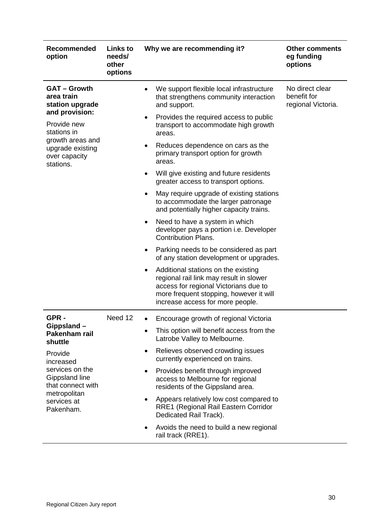| <b>Recommended</b><br>option                                                                                               | Links to<br>needs/<br>other<br>options | Why we are recommending it?                                                                                                                                                                                         | <b>Other comments</b><br>eg funding<br>options       |
|----------------------------------------------------------------------------------------------------------------------------|----------------------------------------|---------------------------------------------------------------------------------------------------------------------------------------------------------------------------------------------------------------------|------------------------------------------------------|
| <b>GAT - Growth</b><br>area train<br>station upgrade<br>and provision:                                                     |                                        | We support flexible local infrastructure<br>$\bullet$<br>that strengthens community interaction<br>and support.                                                                                                     | No direct clear<br>benefit for<br>regional Victoria. |
| Provide new<br>stations in                                                                                                 |                                        | Provides the required access to public<br>transport to accommodate high growth<br>areas.                                                                                                                            |                                                      |
| growth areas and<br>upgrade existing<br>over capacity<br>stations.                                                         |                                        | Reduces dependence on cars as the<br>primary transport option for growth<br>areas.                                                                                                                                  |                                                      |
|                                                                                                                            |                                        | Will give existing and future residents<br>greater access to transport options.                                                                                                                                     |                                                      |
|                                                                                                                            |                                        | May require upgrade of existing stations<br>to accommodate the larger patronage<br>and potentially higher capacity trains.                                                                                          |                                                      |
|                                                                                                                            |                                        | Need to have a system in which<br>developer pays a portion i.e. Developer<br><b>Contribution Plans.</b>                                                                                                             |                                                      |
|                                                                                                                            |                                        | Parking needs to be considered as part<br>of any station development or upgrades.                                                                                                                                   |                                                      |
|                                                                                                                            |                                        | Additional stations on the existing<br>$\bullet$<br>regional rail link may result in slower<br>access for regional Victorians due to<br>more frequent stopping, however it will<br>increase access for more people. |                                                      |
| GPR-                                                                                                                       | Need 12                                | Encourage growth of regional Victoria                                                                                                                                                                               |                                                      |
| Gippsland –<br>Pakenham rail<br>shuttle                                                                                    |                                        | This option will benefit access from the<br>Latrobe Valley to Melbourne.                                                                                                                                            |                                                      |
| Provide<br>increased<br>services on the<br>Gippsland line<br>that connect with<br>metropolitan<br>services at<br>Pakenham. |                                        | Relieves observed crowding issues<br>$\bullet$<br>currently experienced on trains.                                                                                                                                  |                                                      |
|                                                                                                                            |                                        | Provides benefit through improved<br>٠<br>access to Melbourne for regional<br>residents of the Gippsland area.                                                                                                      |                                                      |
|                                                                                                                            |                                        | Appears relatively low cost compared to<br>$\bullet$<br>RRE1 (Regional Rail Eastern Corridor<br>Dedicated Rail Track).                                                                                              |                                                      |
|                                                                                                                            |                                        | Avoids the need to build a new regional<br>$\bullet$<br>rail track (RRE1).                                                                                                                                          |                                                      |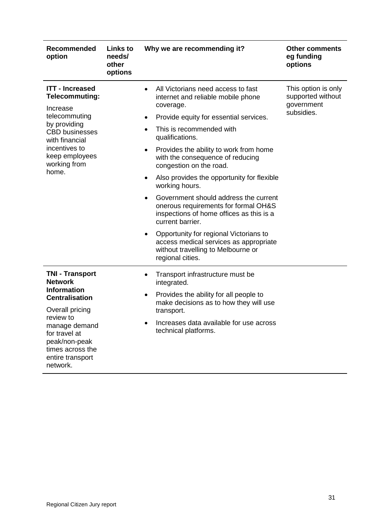| Recommended<br>option                                                                                                                                                                                                          | <b>Links to</b><br>needs/<br>other<br>options | Why we are recommending it?                                                                                                                                                                                                                                                                                                                                                                                                                                                                                                                                                                                                                                                                                                                       | <b>Other comments</b><br>eg funding<br>options                       |
|--------------------------------------------------------------------------------------------------------------------------------------------------------------------------------------------------------------------------------|-----------------------------------------------|---------------------------------------------------------------------------------------------------------------------------------------------------------------------------------------------------------------------------------------------------------------------------------------------------------------------------------------------------------------------------------------------------------------------------------------------------------------------------------------------------------------------------------------------------------------------------------------------------------------------------------------------------------------------------------------------------------------------------------------------------|----------------------------------------------------------------------|
| <b>ITT - Increased</b><br><b>Telecommuting:</b><br>Increase<br>telecommuting<br>by providing<br><b>CBD</b> businesses<br>with financial<br>incentives to<br>keep employees<br>working from<br>home.                            |                                               | All Victorians need access to fast<br>$\bullet$<br>internet and reliable mobile phone<br>coverage.<br>Provide equity for essential services.<br>$\bullet$<br>This is recommended with<br>$\bullet$<br>qualifications.<br>Provides the ability to work from home<br>$\bullet$<br>with the consequence of reducing<br>congestion on the road.<br>Also provides the opportunity for flexible<br>$\bullet$<br>working hours.<br>Government should address the current<br>$\bullet$<br>onerous requirements for formal OH&S<br>inspections of home offices as this is a<br>current barrier.<br>Opportunity for regional Victorians to<br>$\bullet$<br>access medical services as appropriate<br>without travelling to Melbourne or<br>regional cities. | This option is only<br>supported without<br>government<br>subsidies. |
| <b>TNI - Transport</b><br><b>Network</b><br><b>Information</b><br><b>Centralisation</b><br>Overall pricing<br>review to<br>manage demand<br>for travel at<br>peak/non-peak<br>times across the<br>entire transport<br>network. |                                               | Transport infrastructure must be<br>٠<br>integrated.<br>Provides the ability for all people to<br>$\bullet$<br>make decisions as to how they will use<br>transport.<br>Increases data available for use across<br>٠<br>technical platforms.                                                                                                                                                                                                                                                                                                                                                                                                                                                                                                       |                                                                      |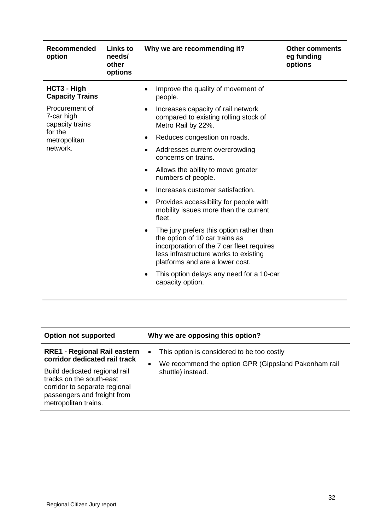| Recommended<br>option                           | Links to<br>needs/<br>other<br>options | Why we are recommending it?                                                                                                                                                                         | <b>Other comments</b><br>eg funding<br>options |
|-------------------------------------------------|----------------------------------------|-----------------------------------------------------------------------------------------------------------------------------------------------------------------------------------------------------|------------------------------------------------|
| HCT3 - High<br><b>Capacity Trains</b>           |                                        | Improve the quality of movement of<br>people.                                                                                                                                                       |                                                |
| Procurement of<br>7-car high<br>capacity trains |                                        | Increases capacity of rail network<br>compared to existing rolling stock of<br>Metro Rail by 22%.                                                                                                   |                                                |
| for the<br>metropolitan                         |                                        | Reduces congestion on roads.<br>٠                                                                                                                                                                   |                                                |
| network.                                        |                                        | Addresses current overcrowding<br>٠<br>concerns on trains.                                                                                                                                          |                                                |
|                                                 |                                        | Allows the ability to move greater<br>٠<br>numbers of people.                                                                                                                                       |                                                |
|                                                 |                                        | Increases customer satisfaction.                                                                                                                                                                    |                                                |
|                                                 |                                        | Provides accessibility for people with<br>$\bullet$<br>mobility issues more than the current<br>fleet.                                                                                              |                                                |
|                                                 |                                        | The jury prefers this option rather than<br>the option of 10 car trains as<br>incorporation of the 7 car fleet requires<br>less infrastructure works to existing<br>platforms and are a lower cost. |                                                |
|                                                 |                                        | This option delays any need for a 10-car<br>capacity option.                                                                                                                                        |                                                |

| <b>Option not supported</b>                                                                                                                       | Why we are opposing this option?                                               |
|---------------------------------------------------------------------------------------------------------------------------------------------------|--------------------------------------------------------------------------------|
| <b>RRE1 - Regional Rail eastern</b><br>corridor dedicated rail track                                                                              | This option is considered to be too costly<br>$\bullet$                        |
| Build dedicated regional rail<br>tracks on the south-east<br>corridor to separate regional<br>passengers and freight from<br>metropolitan trains. | We recommend the option GPR (Gippsland Pakenham rail<br>٠<br>shuttle) instead. |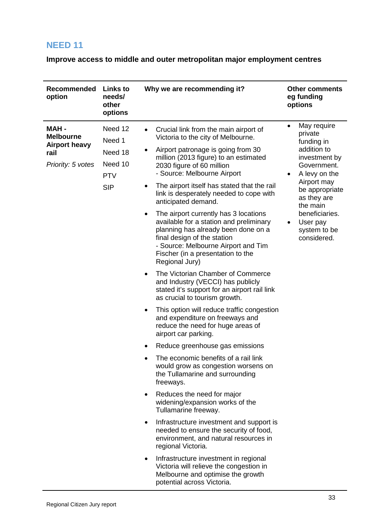<span id="page-32-0"></span>**Improve access to middle and outer metropolitan major employment centres**

| Recommended<br>option                                                         | <b>Links to</b><br>needs/<br>other<br>options                       | Why we are recommending it?                                                                                                                                                                                                                                                                                                                                                                                                                                                                                                                                                                                                                                                                                                                                                                                                                                                                                                                                                                                                                                                                                                                                                                                                                                                                                                                                                                                                                                                                                                                                    | <b>Other comments</b><br>eg funding<br>options                                                                                                                                                                                                                       |
|-------------------------------------------------------------------------------|---------------------------------------------------------------------|----------------------------------------------------------------------------------------------------------------------------------------------------------------------------------------------------------------------------------------------------------------------------------------------------------------------------------------------------------------------------------------------------------------------------------------------------------------------------------------------------------------------------------------------------------------------------------------------------------------------------------------------------------------------------------------------------------------------------------------------------------------------------------------------------------------------------------------------------------------------------------------------------------------------------------------------------------------------------------------------------------------------------------------------------------------------------------------------------------------------------------------------------------------------------------------------------------------------------------------------------------------------------------------------------------------------------------------------------------------------------------------------------------------------------------------------------------------------------------------------------------------------------------------------------------------|----------------------------------------------------------------------------------------------------------------------------------------------------------------------------------------------------------------------------------------------------------------------|
| MAH-<br><b>Melbourne</b><br><b>Airport heavy</b><br>rail<br>Priority: 5 votes | Need 12<br>Need 1<br>Need 18<br>Need 10<br><b>PTV</b><br><b>SIP</b> | Crucial link from the main airport of<br>Victoria to the city of Melbourne.<br>Airport patronage is going from 30<br>$\bullet$<br>million (2013 figure) to an estimated<br>2030 figure of 60 million<br>- Source: Melbourne Airport<br>The airport itself has stated that the rail<br>$\bullet$<br>link is desperately needed to cope with<br>anticipated demand.<br>The airport currently has 3 locations<br>$\bullet$<br>available for a station and preliminary<br>planning has already been done on a<br>final design of the station<br>- Source: Melbourne Airport and Tim<br>Fischer (in a presentation to the<br>Regional Jury)<br>The Victorian Chamber of Commerce<br>$\bullet$<br>and Industry (VECCI) has publicly<br>stated it's support for an airport rail link<br>as crucial to tourism growth.<br>This option will reduce traffic congestion<br>$\bullet$<br>and expenditure on freeways and<br>reduce the need for huge areas of<br>airport car parking.<br>Reduce greenhouse gas emissions<br>٠<br>The economic benefits of a rail link<br>would grow as congestion worsens on<br>the Tullamarine and surrounding<br>freeways.<br>Reduces the need for major<br>$\bullet$<br>widening/expansion works of the<br>Tullamarine freeway.<br>Infrastructure investment and support is<br>$\bullet$<br>needed to ensure the security of food,<br>environment, and natural resources in<br>regional Victoria.<br>Infrastructure investment in regional<br>$\bullet$<br>Victoria will relieve the congestion in<br>Melbourne and optimise the growth | May require<br>$\bullet$<br>private<br>funding in<br>addition to<br>investment by<br>Government.<br>A levy on the<br>$\bullet$<br>Airport may<br>be appropriate<br>as they are<br>the main<br>beneficiaries.<br>User pay<br>$\bullet$<br>system to be<br>considered. |
|                                                                               |                                                                     | potential across Victoria.                                                                                                                                                                                                                                                                                                                                                                                                                                                                                                                                                                                                                                                                                                                                                                                                                                                                                                                                                                                                                                                                                                                                                                                                                                                                                                                                                                                                                                                                                                                                     |                                                                                                                                                                                                                                                                      |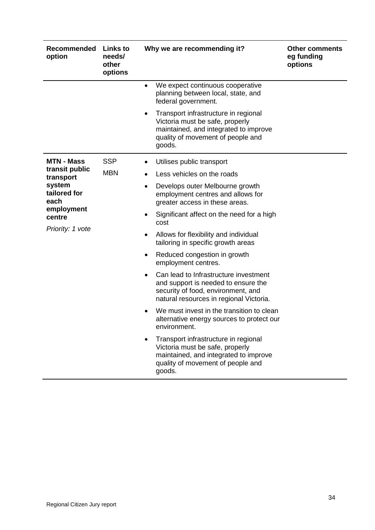| Recommended<br>option          | <b>Links to</b><br>needs/<br>other<br>options | Why we are recommending it?                                                                                                                                                | <b>Other comments</b><br>eg funding<br>options |
|--------------------------------|-----------------------------------------------|----------------------------------------------------------------------------------------------------------------------------------------------------------------------------|------------------------------------------------|
|                                |                                               | We expect continuous cooperative<br>$\bullet$<br>planning between local, state, and<br>federal government.                                                                 |                                                |
|                                |                                               | Transport infrastructure in regional<br>٠<br>Victoria must be safe, properly<br>maintained, and integrated to improve<br>quality of movement of people and<br>goods.       |                                                |
| <b>MTN - Mass</b>              | <b>SSP</b>                                    | Utilises public transport                                                                                                                                                  |                                                |
| transit public<br>transport    | <b>MBN</b>                                    | Less vehicles on the roads<br>$\bullet$                                                                                                                                    |                                                |
| system<br>tailored for<br>each | $\bullet$<br>٠<br>٠<br>٠                      | Develops outer Melbourne growth<br>employment centres and allows for<br>greater access in these areas.                                                                     |                                                |
| employment<br>centre           |                                               | Significant affect on the need for a high<br>cost                                                                                                                          |                                                |
| Priority: 1 vote               |                                               | Allows for flexibility and individual<br>tailoring in specific growth areas                                                                                                |                                                |
|                                |                                               | Reduced congestion in growth<br>employment centres.                                                                                                                        |                                                |
|                                |                                               | Can lead to Infrastructure investment<br>$\bullet$<br>and support is needed to ensure the<br>security of food, environment, and<br>natural resources in regional Victoria. |                                                |
|                                |                                               | We must invest in the transition to clean<br>alternative energy sources to protect our<br>environment.                                                                     |                                                |
|                                |                                               | Transport infrastructure in regional<br>Victoria must be safe, properly<br>maintained, and integrated to improve<br>quality of movement of people and<br>goods.            |                                                |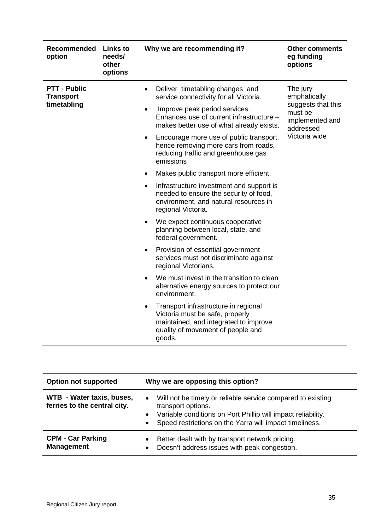| Recommended<br>option                                  | <b>Links to</b><br>needs/<br>other<br>options | Why we are recommending it?                                                                                                                                                                                                                                                                                                                                                                                                                                                                                                                                                                                                                                                                      | <b>Other comments</b><br>eg funding<br>options                                                             |
|--------------------------------------------------------|-----------------------------------------------|--------------------------------------------------------------------------------------------------------------------------------------------------------------------------------------------------------------------------------------------------------------------------------------------------------------------------------------------------------------------------------------------------------------------------------------------------------------------------------------------------------------------------------------------------------------------------------------------------------------------------------------------------------------------------------------------------|------------------------------------------------------------------------------------------------------------|
| <b>PTT - Public</b><br><b>Transport</b><br>timetabling |                                               | Deliver timetabling changes and<br>$\bullet$<br>service connectivity for all Victoria.<br>Improve peak period services.<br>$\bullet$<br>Enhances use of current infrastructure -<br>makes better use of what already exists.<br>Encourage more use of public transport,<br>$\bullet$<br>hence removing more cars from roads,<br>reducing traffic and greenhouse gas<br>emissions<br>Makes public transport more efficient.<br>$\bullet$<br>Infrastructure investment and support is<br>$\bullet$<br>needed to ensure the security of food,<br>environment, and natural resources in<br>regional Victoria.<br>We expect continuous cooperative<br>$\bullet$<br>planning between local, state, and | The jury<br>emphatically<br>suggests that this<br>must be<br>implemented and<br>addressed<br>Victoria wide |
|                                                        |                                               | federal government.<br>Provision of essential government<br>$\bullet$<br>services must not discriminate against<br>regional Victorians.<br>We must invest in the transition to clean<br>$\bullet$<br>alternative energy sources to protect our<br>environment.<br>Transport infrastructure in regional<br>$\bullet$<br>Victoria must be safe, properly<br>maintained, and integrated to improve<br>quality of movement of people and<br>goods.                                                                                                                                                                                                                                                   |                                                                                                            |

| <b>Option not supported</b>                               | Why we are opposing this option?                                                                                                                                                                                          |
|-----------------------------------------------------------|---------------------------------------------------------------------------------------------------------------------------------------------------------------------------------------------------------------------------|
| WTB - Water taxis, buses,<br>ferries to the central city. | Will not be timely or reliable service compared to existing<br>$\bullet$<br>transport options.<br>Variable conditions on Port Phillip will impact reliability.<br>Speed restrictions on the Yarra will impact timeliness. |
| <b>CPM - Car Parking</b><br><b>Management</b>             | Better dealt with by transport network pricing.<br>Doesn't address issues with peak congestion.<br>$\bullet$                                                                                                              |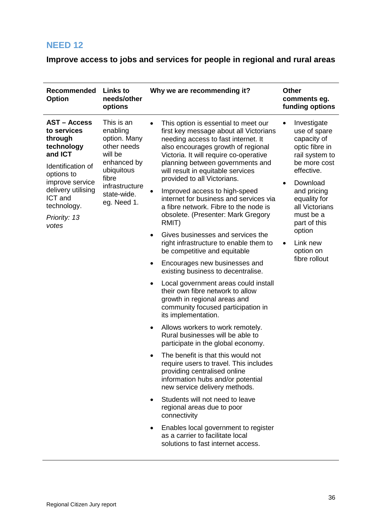<span id="page-35-0"></span>**Improve access to jobs and services for people in regional and rural areas**

| <b>Recommended</b><br><b>Option</b>                                                                                                                                                                   | <b>Links to</b><br>needs/other<br>options                                                                                                              | Why we are recommending it?                                                                                                                                                                                                                                                                                                                                                                                                                                                                                                                                                                                                                                                                                                                                                                                                                                                                                                                                                                                                                                                                                                                                                                                                                                                                                                                                                                                                          | <b>Other</b><br>comments eg.<br>funding options                                                                                                                                                                                                            |
|-------------------------------------------------------------------------------------------------------------------------------------------------------------------------------------------------------|--------------------------------------------------------------------------------------------------------------------------------------------------------|--------------------------------------------------------------------------------------------------------------------------------------------------------------------------------------------------------------------------------------------------------------------------------------------------------------------------------------------------------------------------------------------------------------------------------------------------------------------------------------------------------------------------------------------------------------------------------------------------------------------------------------------------------------------------------------------------------------------------------------------------------------------------------------------------------------------------------------------------------------------------------------------------------------------------------------------------------------------------------------------------------------------------------------------------------------------------------------------------------------------------------------------------------------------------------------------------------------------------------------------------------------------------------------------------------------------------------------------------------------------------------------------------------------------------------------|------------------------------------------------------------------------------------------------------------------------------------------------------------------------------------------------------------------------------------------------------------|
| <b>AST - Access</b><br>to services<br>through<br>technology<br>and ICT<br>Identification of<br>options to<br>improve service<br>delivery utilising<br>ICT and<br>technology.<br>Priority: 13<br>votes | This is an<br>enabling<br>option. Many<br>other needs<br>will be<br>enhanced by<br>ubiquitous<br>fibre<br>infrastructure<br>state-wide.<br>eg. Need 1. | This option is essential to meet our<br>first key message about all Victorians<br>needing access to fast internet. It<br>also encourages growth of regional<br>Victoria. It will require co-operative<br>planning between governments and<br>will result in equitable services<br>provided to all Victorians.<br>Improved access to high-speed<br>internet for business and services via<br>a fibre network. Fibre to the node is<br>obsolete. (Presenter: Mark Gregory<br>RMIT)<br>Gives businesses and services the<br>$\bullet$<br>right infrastructure to enable them to<br>be competitive and equitable<br>Encourages new businesses and<br>$\bullet$<br>existing business to decentralise.<br>Local government areas could install<br>$\bullet$<br>their own fibre network to allow<br>growth in regional areas and<br>community focused participation in<br>its implementation.<br>Allows workers to work remotely.<br>$\bullet$<br>Rural businesses will be able to<br>participate in the global economy.<br>The benefit is that this would not<br>require users to travel. This includes<br>providing centralised online<br>information hubs and/or potential<br>new service delivery methods.<br>Students will not need to leave<br>$\bullet$<br>regional areas due to poor<br>connectivity<br>Enables local government to register<br>$\bullet$<br>as a carrier to facilitate local<br>solutions to fast internet access. | Investigate<br>use of spare<br>capacity of<br>optic fibre in<br>rail system to<br>be more cost<br>effective.<br>Download<br>and pricing<br>equality for<br>all Victorians<br>must be a<br>part of this<br>option<br>Link new<br>option on<br>fibre rollout |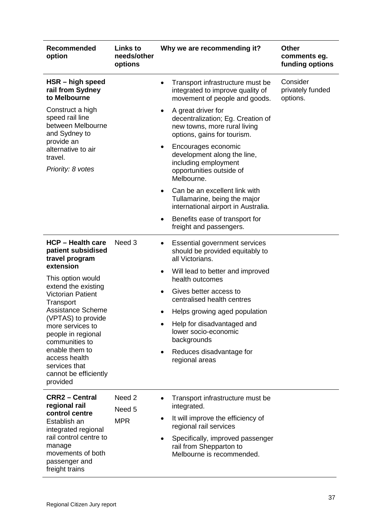| Recommended<br>option                                                                    | <b>Links to</b><br>needs/other<br>options | Why we are recommending it?                                                                                                         | <b>Other</b><br>comments eg.<br>funding options |
|------------------------------------------------------------------------------------------|-------------------------------------------|-------------------------------------------------------------------------------------------------------------------------------------|-------------------------------------------------|
| HSR - high speed<br>rail from Sydney<br>to Melbourne                                     |                                           | Transport infrastructure must be<br>$\bullet$<br>integrated to improve quality of<br>movement of people and goods.                  | Consider<br>privately funded<br>options.        |
| Construct a high<br>speed rail line<br>between Melbourne<br>and Sydney to                |                                           | A great driver for<br>$\bullet$<br>decentralization; Eg. Creation of<br>new towns, more rural living<br>options, gains for tourism. |                                                 |
| provide an<br>alternative to air<br>travel.<br>Priority: 8 votes                         |                                           | Encourages economic<br>$\bullet$<br>development along the line,<br>including employment<br>opportunities outside of<br>Melbourne.   |                                                 |
|                                                                                          |                                           | Can be an excellent link with<br>$\bullet$<br>Tullamarine, being the major<br>international airport in Australia.                   |                                                 |
|                                                                                          |                                           | Benefits ease of transport for<br>٠<br>freight and passengers.                                                                      |                                                 |
| <b>HCP - Health care</b><br>patient subsidised<br>travel program                         | Need 3                                    | <b>Essential government services</b><br>$\bullet$<br>should be provided equitably to<br>all Victorians.                             |                                                 |
| extension<br>This option would                                                           |                                           | Will lead to better and improved<br>$\bullet$<br>health outcomes                                                                    |                                                 |
| extend the existing<br><b>Victorian Patient</b><br>Transport                             |                                           | Gives better access to<br>$\bullet$<br>centralised health centres                                                                   |                                                 |
| <b>Assistance Scheme</b>                                                                 |                                           | Helps growing aged population                                                                                                       |                                                 |
| (VPTAS) to provide<br>more services to<br>people in regional<br>communities to           |                                           | Help for disadvantaged and<br>lower socio-economic<br>backgrounds                                                                   |                                                 |
| enable them to<br>access health<br>services that<br>cannot be efficiently<br>provided    |                                           | Reduces disadvantage for<br>$\bullet$<br>regional areas                                                                             |                                                 |
| <b>CRR2 - Central</b><br>regional rail                                                   | Need <sub>2</sub><br>Need 5               | Transport infrastructure must be<br>$\bullet$<br>integrated.                                                                        |                                                 |
| control centre<br>Establish an<br>integrated regional                                    | <b>MPR</b>                                | It will improve the efficiency of<br>$\bullet$<br>regional rail services                                                            |                                                 |
| rail control centre to<br>manage<br>movements of both<br>passenger and<br>freight trains |                                           | Specifically, improved passenger<br>$\bullet$<br>rail from Shepparton to<br>Melbourne is recommended.                               |                                                 |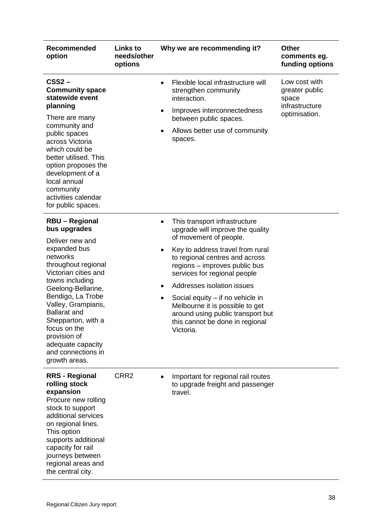| Recommended<br>option                                                                                                                                                                                                                                                                                                                                            | <b>Links to</b><br>needs/other<br>options | Why we are recommending it?                                                                                                                                                                                                                                                                                                                                                                                                                                        | <b>Other</b><br>comments eg.<br>funding options                             |
|------------------------------------------------------------------------------------------------------------------------------------------------------------------------------------------------------------------------------------------------------------------------------------------------------------------------------------------------------------------|-------------------------------------------|--------------------------------------------------------------------------------------------------------------------------------------------------------------------------------------------------------------------------------------------------------------------------------------------------------------------------------------------------------------------------------------------------------------------------------------------------------------------|-----------------------------------------------------------------------------|
| $CSS2 -$<br><b>Community space</b><br>statewide event<br>planning<br>There are many<br>community and<br>public spaces<br>across Victoria<br>which could be<br>better utilised. This<br>option proposes the<br>development of a<br>local annual<br>community<br>activities calendar<br>for public spaces.                                                         |                                           | Flexible local infrastructure will<br>$\bullet$<br>strengthen community<br>interaction.<br>Improves interconnectedness<br>٠<br>between public spaces.<br>Allows better use of community<br>spaces.                                                                                                                                                                                                                                                                 | Low cost with<br>greater public<br>space<br>infrastructure<br>optimisation. |
| <b>RBU - Regional</b><br>bus upgrades<br>Deliver new and<br>expanded bus<br>networks<br>throughout regional<br>Victorian cities and<br>towns including<br>Geelong-Bellarine,<br>Bendigo, La Trobe<br>Valley, Grampians,<br><b>Ballarat and</b><br>Shepparton, with a<br>focus on the<br>provision of<br>adequate capacity<br>and connections in<br>growth areas. |                                           | This transport infrastructure<br>٠<br>upgrade will improve the quality<br>of movement of people.<br>Key to address travel from rural<br>$\bullet$<br>to regional centres and across<br>regions - improves public bus<br>services for regional people<br>Addresses isolation issues<br>٠<br>Social equity $-$ if no vehicle in<br>$\bullet$<br>Melbourne it is possible to get<br>around using public transport but<br>this cannot be done in regional<br>Victoria. |                                                                             |
| <b>RRS - Regional</b><br>rolling stock<br>expansion<br>Procure new rolling<br>stock to support<br>additional services<br>on regional lines.<br>This option<br>supports additional<br>capacity for rail<br>journeys between<br>regional areas and<br>the central city.                                                                                            | CRR <sub>2</sub>                          | Important for regional rail routes<br>to upgrade freight and passenger<br>travel.                                                                                                                                                                                                                                                                                                                                                                                  |                                                                             |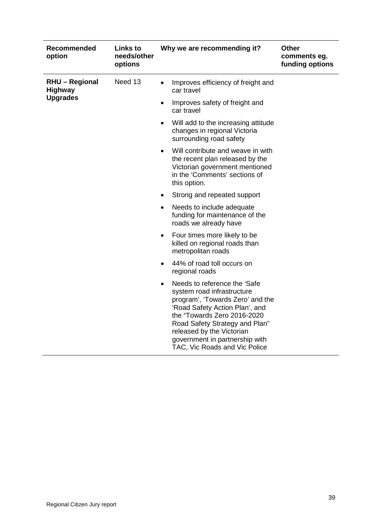| Recommended<br>option                   | <b>Links to</b><br>needs/other<br>options | Why we are recommending it?                                                                                                                                                                                                                                                                                    | <b>Other</b><br>comments eg.<br>funding options |
|-----------------------------------------|-------------------------------------------|----------------------------------------------------------------------------------------------------------------------------------------------------------------------------------------------------------------------------------------------------------------------------------------------------------------|-------------------------------------------------|
| <b>RHU - Regional</b><br><b>Highway</b> | Need 13                                   | Improves efficiency of freight and<br>$\bullet$<br>car travel                                                                                                                                                                                                                                                  |                                                 |
| <b>Upgrades</b>                         |                                           | Improves safety of freight and<br>$\bullet$<br>car travel                                                                                                                                                                                                                                                      |                                                 |
|                                         |                                           | Will add to the increasing attitude<br>$\bullet$<br>changes in regional Victoria<br>surrounding road safety                                                                                                                                                                                                    |                                                 |
|                                         |                                           | Will contribute and weave in with<br>$\bullet$<br>the recent plan released by the<br>Victorian government mentioned<br>in the 'Comments' sections of<br>this option.                                                                                                                                           |                                                 |
|                                         |                                           | Strong and repeated support<br>$\bullet$                                                                                                                                                                                                                                                                       |                                                 |
|                                         |                                           | Needs to include adequate<br>$\bullet$<br>funding for maintenance of the<br>roads we already have                                                                                                                                                                                                              |                                                 |
|                                         |                                           | Four times more likely to be<br>$\bullet$<br>killed on regional roads than<br>metropolitan roads                                                                                                                                                                                                               |                                                 |
|                                         |                                           | 44% of road toll occurs on<br>٠<br>regional roads                                                                                                                                                                                                                                                              |                                                 |
|                                         |                                           | Needs to reference the 'Safe<br>$\bullet$<br>system road infrastructure<br>program', 'Towards Zero' and the<br>'Road Safety Action Plan', and<br>the "Towards Zero 2016-2020<br>Road Safety Strategy and Plan"<br>released by the Victorian<br>government in partnership with<br>TAC, Vic Roads and Vic Police |                                                 |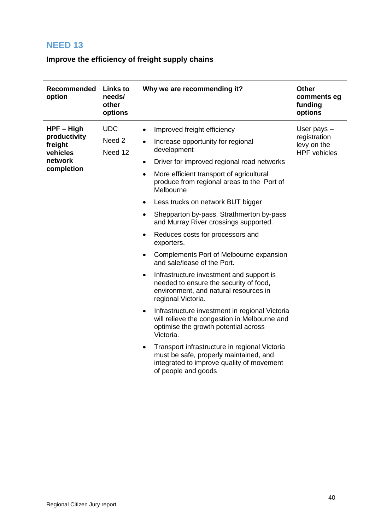## <span id="page-39-0"></span>**Improve the efficiency of freight supply chains**

| Recommended<br>option                                                        | <b>Links to</b><br>needs/<br>other<br>options | Why we are recommending it?                                                                                                                                                                                                                                                                                                                                                                                                                                                                                                                                                                                                                                                                                                                                                                                                                                                                                                                                                                                                                                      | <b>Other</b><br>comments eg<br>funding<br>options                   |
|------------------------------------------------------------------------------|-----------------------------------------------|------------------------------------------------------------------------------------------------------------------------------------------------------------------------------------------------------------------------------------------------------------------------------------------------------------------------------------------------------------------------------------------------------------------------------------------------------------------------------------------------------------------------------------------------------------------------------------------------------------------------------------------------------------------------------------------------------------------------------------------------------------------------------------------------------------------------------------------------------------------------------------------------------------------------------------------------------------------------------------------------------------------------------------------------------------------|---------------------------------------------------------------------|
| $HPF - High$<br>productivity<br>freight<br>vehicles<br>network<br>completion | <b>UDC</b><br>Need 2<br>Need 12               | Improved freight efficiency<br>Increase opportunity for regional<br>development<br>Driver for improved regional road networks<br>$\bullet$<br>More efficient transport of agricultural<br>$\bullet$<br>produce from regional areas to the Port of<br>Melbourne<br>Less trucks on network BUT bigger<br>$\bullet$<br>Shepparton by-pass, Strathmerton by-pass<br>$\bullet$<br>and Murray River crossings supported.<br>Reduces costs for processors and<br>$\bullet$<br>exporters.<br>Complements Port of Melbourne expansion<br>$\bullet$<br>and sale/lease of the Port.<br>Infrastructure investment and support is<br>$\bullet$<br>needed to ensure the security of food,<br>environment, and natural resources in<br>regional Victoria.<br>Infrastructure investment in regional Victoria<br>will relieve the congestion in Melbourne and<br>optimise the growth potential across<br>Victoria.<br>Transport infrastructure in regional Victoria<br>must be safe, properly maintained, and<br>integrated to improve quality of movement<br>of people and goods | User pays $-$<br>registration<br>levy on the<br><b>HPF</b> vehicles |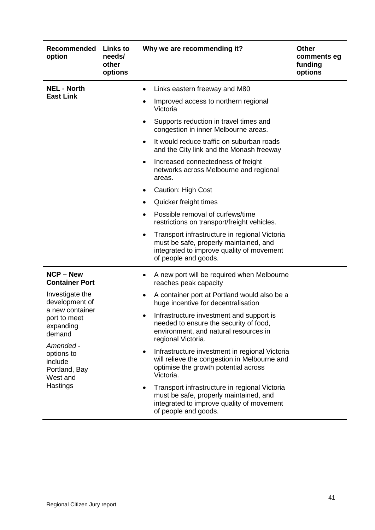| Recommended<br>option                                           | <b>Links to</b><br>needs/<br>other<br>options | <b>Other</b><br>Why we are recommending it?<br>comments eg<br>funding<br>options                                                                                  |  |
|-----------------------------------------------------------------|-----------------------------------------------|-------------------------------------------------------------------------------------------------------------------------------------------------------------------|--|
| <b>NEL - North</b>                                              |                                               | Links eastern freeway and M80                                                                                                                                     |  |
| <b>East Link</b>                                                |                                               | Improved access to northern regional<br>Victoria                                                                                                                  |  |
|                                                                 |                                               | Supports reduction in travel times and<br>congestion in inner Melbourne areas.                                                                                    |  |
|                                                                 |                                               | It would reduce traffic on suburban roads<br>$\bullet$<br>and the City link and the Monash freeway                                                                |  |
|                                                                 |                                               | Increased connectedness of freight<br>$\bullet$<br>networks across Melbourne and regional<br>areas.                                                               |  |
|                                                                 |                                               | Caution: High Cost<br>$\bullet$                                                                                                                                   |  |
|                                                                 |                                               | Quicker freight times                                                                                                                                             |  |
|                                                                 |                                               | Possible removal of curfews/time<br>$\bullet$<br>restrictions on transport/freight vehicles.                                                                      |  |
|                                                                 |                                               | Transport infrastructure in regional Victoria<br>٠<br>must be safe, properly maintained, and<br>integrated to improve quality of movement<br>of people and goods. |  |
| <b>NCP – New</b><br><b>Container Port</b>                       |                                               | A new port will be required when Melbourne<br>reaches peak capacity                                                                                               |  |
| Investigate the<br>development of                               |                                               | A container port at Portland would also be a<br>٠<br>huge incentive for decentralisation                                                                          |  |
| a new container<br>port to meet<br>expanding<br>demand          |                                               | Infrastructure investment and support is<br>needed to ensure the security of food.<br>environment, and natural resources in<br>regional Victoria.                 |  |
| Amended -<br>options to<br>include<br>Portland, Bay<br>West and |                                               | Infrastructure investment in regional Victoria<br>will relieve the congestion in Melbourne and<br>optimise the growth potential across<br>Victoria.               |  |
| Hastings                                                        |                                               | Transport infrastructure in regional Victoria<br>must be safe, properly maintained, and<br>integrated to improve quality of movement<br>of people and goods.      |  |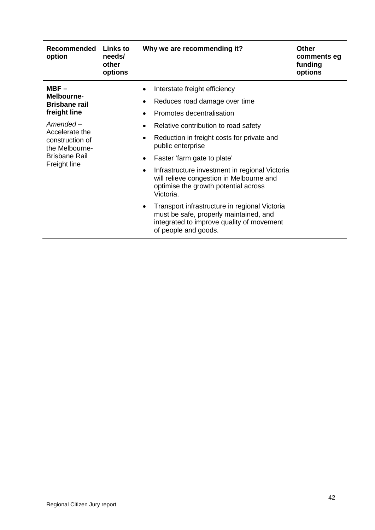| <b>Recommended</b><br>option                                                             | <b>Links to</b><br>needs/<br>other<br>options                                                                                                                                               | Why we are recommending it?                                                                                                                                               | <b>Other</b><br>comments eg<br>funding<br>options |
|------------------------------------------------------------------------------------------|---------------------------------------------------------------------------------------------------------------------------------------------------------------------------------------------|---------------------------------------------------------------------------------------------------------------------------------------------------------------------------|---------------------------------------------------|
| $MBF -$<br>Melbourne-<br><b>Brisbane rail</b><br>freight line                            |                                                                                                                                                                                             | Interstate freight efficiency<br>Reduces road damage over time<br>٠<br>Promotes decentralisation                                                                          |                                                   |
| Amended –<br>Accelerate the<br>construction of<br>the Melbourne-<br><b>Brisbane Rail</b> |                                                                                                                                                                                             | Relative contribution to road safety<br>Reduction in freight costs for private and<br>٠<br>public enterprise                                                              |                                                   |
| Freight line                                                                             | Faster 'farm gate to plate'<br>$\bullet$<br>Infrastructure investment in regional Victoria<br>will relieve congestion in Melbourne and<br>optimise the growth potential across<br>Victoria. |                                                                                                                                                                           |                                                   |
|                                                                                          |                                                                                                                                                                                             | Transport infrastructure in regional Victoria<br>$\bullet$<br>must be safe, properly maintained, and<br>integrated to improve quality of movement<br>of people and goods. |                                                   |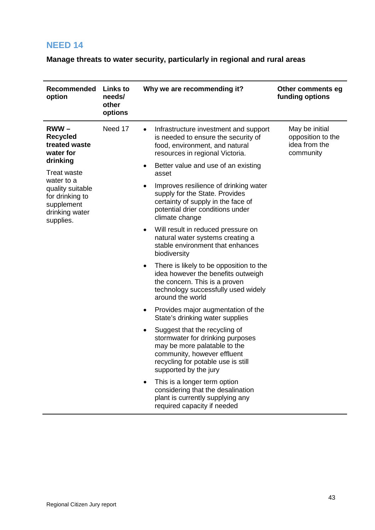<span id="page-42-0"></span>**Manage threats to water security, particularly in regional and rural areas**

| Recommended<br>option                                                                          | <b>Links to</b><br>needs/<br>other<br>options | Why we are recommending it?                                                                                                                                                                          | Other comments eg<br>funding options                              |
|------------------------------------------------------------------------------------------------|-----------------------------------------------|------------------------------------------------------------------------------------------------------------------------------------------------------------------------------------------------------|-------------------------------------------------------------------|
| $RWW -$<br><b>Recycled</b><br>treated waste<br>water for<br>drinking                           | Need 17                                       | Infrastructure investment and support<br>is needed to ensure the security of<br>food, environment, and natural<br>resources in regional Victoria.                                                    | May be initial<br>opposition to the<br>idea from the<br>community |
| <b>Treat waste</b>                                                                             |                                               | Better value and use of an existing<br>٠<br>asset                                                                                                                                                    |                                                                   |
| water to a<br>quality suitable<br>for drinking to<br>supplement<br>drinking water<br>supplies. |                                               | Improves resilience of drinking water<br>supply for the State. Provides<br>certainty of supply in the face of<br>potential drier conditions under<br>climate change                                  |                                                                   |
|                                                                                                |                                               | Will result in reduced pressure on<br>$\bullet$<br>natural water systems creating a<br>stable environment that enhances<br>biodiversity                                                              |                                                                   |
|                                                                                                |                                               | There is likely to be opposition to the<br>$\bullet$<br>idea however the benefits outweigh<br>the concern. This is a proven<br>technology successfully used widely<br>around the world               |                                                                   |
|                                                                                                |                                               | Provides major augmentation of the<br>٠<br>State's drinking water supplies                                                                                                                           |                                                                   |
|                                                                                                |                                               | Suggest that the recycling of<br>٠<br>stormwater for drinking purposes<br>may be more palatable to the<br>community, however effluent<br>recycling for potable use is still<br>supported by the jury |                                                                   |
|                                                                                                |                                               | This is a longer term option<br>considering that the desalination<br>plant is currently supplying any<br>required capacity if needed                                                                 |                                                                   |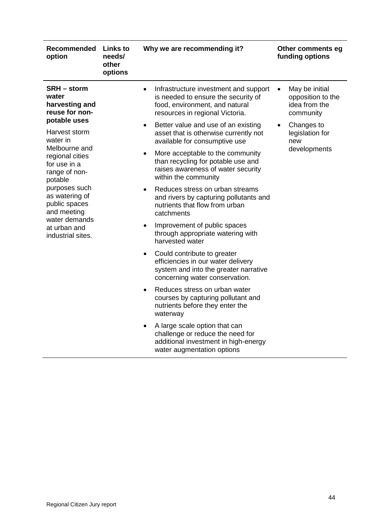| Recommended<br>option                                                            | <b>Links to</b><br>needs/<br>other<br>options | Why we are recommending it?                                                                                                                                    | Other comments eg<br>funding options                                           |
|----------------------------------------------------------------------------------|-----------------------------------------------|----------------------------------------------------------------------------------------------------------------------------------------------------------------|--------------------------------------------------------------------------------|
| <b>SRH</b> – storm<br>water<br>harvesting and<br>reuse for non-                  |                                               | Infrastructure investment and support<br>$\bullet$<br>is needed to ensure the security of<br>food, environment, and natural<br>resources in regional Victoria. | May be initial<br>$\bullet$<br>opposition to the<br>idea from the<br>community |
| potable uses<br>Harvest storm<br>water in                                        |                                               | Better value and use of an existing<br>$\bullet$<br>asset that is otherwise currently not<br>available for consumptive use                                     | Changes to<br>$\bullet$<br>legislation for<br>new                              |
| Melbourne and<br>regional cities<br>for use in a<br>range of non-<br>potable     |                                               | More acceptable to the community<br>$\bullet$<br>than recycling for potable use and<br>raises awareness of water security<br>within the community              | developments                                                                   |
| purposes such<br>as watering of<br>public spaces<br>and meeting<br>water demands |                                               | Reduces stress on urban streams<br>$\bullet$<br>and rivers by capturing pollutants and<br>nutrients that flow from urban<br>catchments                         |                                                                                |
| at urban and<br>industrial sites.                                                |                                               | Improvement of public spaces<br>$\bullet$<br>through appropriate watering with<br>harvested water                                                              |                                                                                |
|                                                                                  |                                               | Could contribute to greater<br>$\bullet$<br>efficiencies in our water delivery<br>system and into the greater narrative<br>concerning water conservation.      |                                                                                |
|                                                                                  |                                               | Reduces stress on urban water<br>courses by capturing pollutant and<br>nutrients before they enter the<br>waterway                                             |                                                                                |
|                                                                                  |                                               | A large scale option that can<br>$\bullet$<br>challenge or reduce the need for<br>additional investment in high-energy<br>water augmentation options           |                                                                                |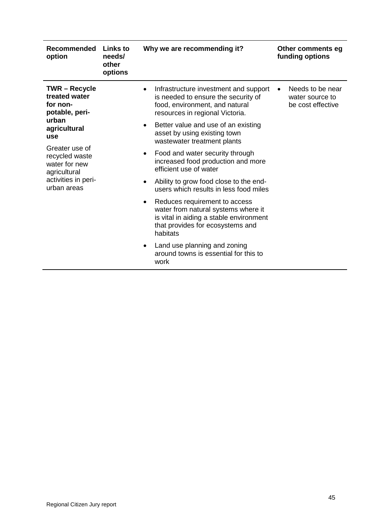| <b>Recommended</b><br>option                                               | Links to<br>needs/<br>other<br>options | Why we are recommending it?                                                                                                                                                  | Other comments eg<br>funding options                     |
|----------------------------------------------------------------------------|----------------------------------------|------------------------------------------------------------------------------------------------------------------------------------------------------------------------------|----------------------------------------------------------|
| <b>TWR-Recycle</b><br>treated water<br>for non-<br>potable, peri-<br>urban |                                        | Infrastructure investment and support<br>$\bullet$<br>is needed to ensure the security of<br>food, environment, and natural<br>resources in regional Victoria.               | Needs to be near<br>water source to<br>be cost effective |
| agricultural<br>use                                                        |                                        | Better value and use of an existing<br>$\bullet$<br>asset by using existing town<br>wastewater treatment plants                                                              |                                                          |
| Greater use of<br>recycled waste<br>water for new<br>agricultural          | $\bullet$<br>efficient use of water    | Food and water security through<br>increased food production and more                                                                                                        |                                                          |
| activities in peri-<br>urban areas                                         |                                        | Ability to grow food close to the end-<br>$\bullet$<br>users which results in less food miles                                                                                |                                                          |
|                                                                            |                                        | Reduces requirement to access<br>$\bullet$<br>water from natural systems where it<br>is vital in aiding a stable environment<br>that provides for ecosystems and<br>habitats |                                                          |
|                                                                            |                                        | Land use planning and zoning<br>$\bullet$<br>around towns is essential for this to<br>work                                                                                   |                                                          |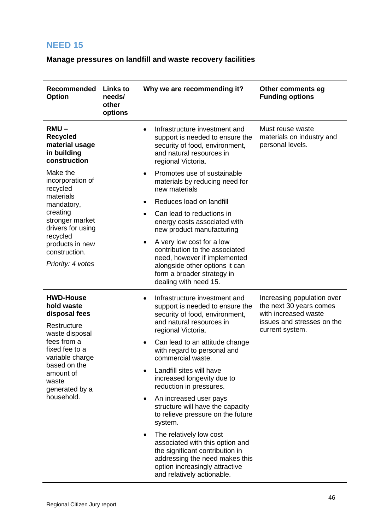<span id="page-45-0"></span>**Manage pressures on landfill and waste recovery facilities**

| Recommended<br><b>Option</b>                                                     | <b>Links to</b><br>needs/<br>other<br>options | Why we are recommending it?                                                                                                                                                                                  | Other comments eg<br><b>Funding options</b>                                                                                    |
|----------------------------------------------------------------------------------|-----------------------------------------------|--------------------------------------------------------------------------------------------------------------------------------------------------------------------------------------------------------------|--------------------------------------------------------------------------------------------------------------------------------|
| $RMU -$<br><b>Recycled</b><br>material usage<br>in building<br>construction      |                                               | Infrastructure investment and<br>support is needed to ensure the<br>security of food, environment,<br>and natural resources in<br>regional Victoria.                                                         | Must reuse waste<br>materials on industry and<br>personal levels.                                                              |
| Make the<br>incorporation of<br>recycled                                         |                                               | Promotes use of sustainable<br>$\bullet$<br>materials by reducing need for<br>new materials                                                                                                                  |                                                                                                                                |
| materials<br>mandatory,                                                          |                                               | Reduces load on landfill<br>$\bullet$                                                                                                                                                                        |                                                                                                                                |
| creating<br>stronger market<br>drivers for using                                 |                                               | Can lead to reductions in<br>$\bullet$<br>energy costs associated with<br>new product manufacturing                                                                                                          |                                                                                                                                |
| recycled<br>products in new<br>construction.<br>Priority: 4 votes                |                                               | A very low cost for a low<br>$\bullet$<br>contribution to the associated<br>need, however if implemented<br>alongside other options it can<br>form a broader strategy in<br>dealing with need 15.            |                                                                                                                                |
| <b>HWD-House</b><br>hold waste<br>disposal fees<br>Restructure<br>waste disposal |                                               | Infrastructure investment and<br>$\bullet$<br>support is needed to ensure the<br>security of food, environment,<br>and natural resources in<br>regional Victoria.                                            | Increasing population over<br>the next 30 years comes<br>with increased waste<br>issues and stresses on the<br>current system. |
| fees from a<br>fixed fee to a<br>variable charge                                 |                                               | Can lead to an attitude change<br>$\bullet$<br>with regard to personal and<br>commercial waste.                                                                                                              |                                                                                                                                |
| based on the<br>amount of<br>waste<br>generated by a                             |                                               | Landfill sites will have<br>increased longevity due to<br>reduction in pressures.                                                                                                                            |                                                                                                                                |
| household.                                                                       |                                               | An increased user pays<br>$\bullet$<br>structure will have the capacity<br>to relieve pressure on the future<br>system.                                                                                      |                                                                                                                                |
|                                                                                  |                                               | The relatively low cost<br>$\bullet$<br>associated with this option and<br>the significant contribution in<br>addressing the need makes this<br>option increasingly attractive<br>and relatively actionable. |                                                                                                                                |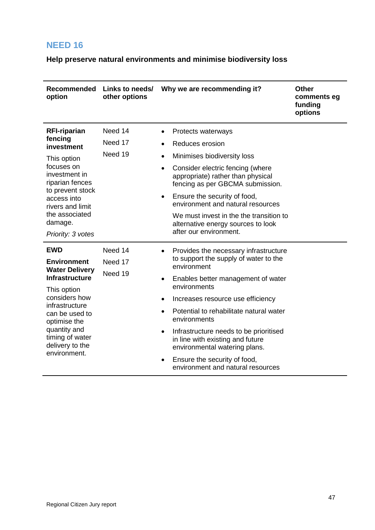<span id="page-46-0"></span>**Help preserve natural environments and minimise biodiversity loss**

| <b>Recommended</b><br>option                                                                                                                                                                                                                 | Links to needs/<br>other options | Why we are recommending it?                                                                                                                                                                                                                                                                                                                                                                                                                                                    | <b>Other</b><br>comments eg<br>funding<br>options |
|----------------------------------------------------------------------------------------------------------------------------------------------------------------------------------------------------------------------------------------------|----------------------------------|--------------------------------------------------------------------------------------------------------------------------------------------------------------------------------------------------------------------------------------------------------------------------------------------------------------------------------------------------------------------------------------------------------------------------------------------------------------------------------|---------------------------------------------------|
| <b>RFI-riparian</b><br>fencing<br>investment<br>This option<br>focuses on<br>investment in<br>riparian fences<br>to prevent stock<br>access into<br>rivers and limit<br>the associated<br>damage.<br>Priority: 3 votes                       | Need 14<br>Need 17<br>Need 19    | Protects waterways<br>Reduces erosion<br>Minimises biodiversity loss<br>$\bullet$<br>Consider electric fencing (where<br>$\bullet$<br>appropriate) rather than physical<br>fencing as per GBCMA submission.<br>Ensure the security of food,<br>$\bullet$<br>environment and natural resources<br>We must invest in the the transition to<br>alternative energy sources to look<br>after our environment.                                                                       |                                                   |
| <b>EWD</b><br><b>Environment</b><br><b>Water Delivery</b><br><b>Infrastructure</b><br>This option<br>considers how<br>infrastructure<br>can be used to<br>optimise the<br>quantity and<br>timing of water<br>delivery to the<br>environment. | Need 14<br>Need 17<br>Need 19    | Provides the necessary infrastructure<br>$\bullet$<br>to support the supply of water to the<br>environment<br>Enables better management of water<br>$\bullet$<br>environments<br>Increases resource use efficiency<br>Potential to rehabilitate natural water<br>environments<br>Infrastructure needs to be prioritised<br>$\bullet$<br>in line with existing and future<br>environmental watering plans.<br>Ensure the security of food,<br>environment and natural resources |                                                   |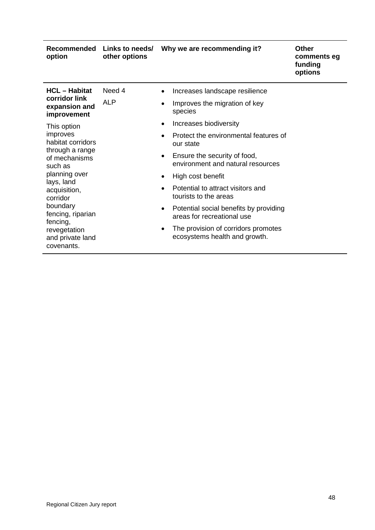| Recommended<br>option                          | other options                                                                                             | Links to needs/ Why we are recommending it?                                       | <b>Other</b><br>comments eg<br>funding<br>options |
|------------------------------------------------|-----------------------------------------------------------------------------------------------------------|-----------------------------------------------------------------------------------|---------------------------------------------------|
| <b>HCL</b> - Habitat                           | Need 4                                                                                                    | Increases landscape resilience<br>$\bullet$                                       |                                                   |
| corridor link<br>expansion and<br>improvement  | <b>ALP</b><br>Improves the migration of key<br>$\bullet$<br>species                                       |                                                                                   |                                                   |
| This option                                    |                                                                                                           | Increases biodiversity<br>$\bullet$                                               |                                                   |
| improves<br>habitat corridors                  | $\bullet$                                                                                                 | Protect the environmental features of<br>our state                                |                                                   |
| through a range<br>of mechanisms<br>such as    |                                                                                                           | Ensure the security of food,<br>$\bullet$<br>environment and natural resources    |                                                   |
| planning over<br>lays, land                    | High cost benefit<br>$\bullet$<br>Potential to attract visitors and<br>$\bullet$<br>tourists to the areas |                                                                                   |                                                   |
| acquisition,<br>corridor                       |                                                                                                           |                                                                                   |                                                   |
| boundary<br>fencing, riparian<br>fencing,      |                                                                                                           | Potential social benefits by providing<br>$\bullet$<br>areas for recreational use |                                                   |
| revegetation<br>and private land<br>covenants. |                                                                                                           | The provision of corridors promotes<br>$\bullet$<br>ecosystems health and growth. |                                                   |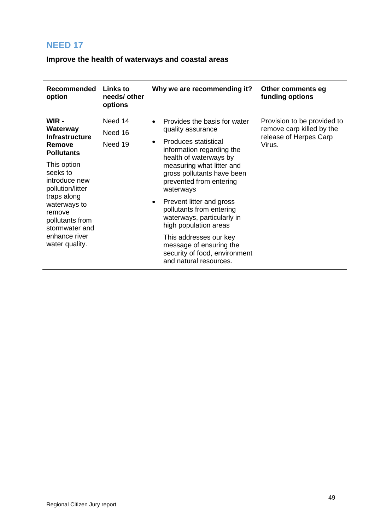<span id="page-48-0"></span>**Improve the health of waterways and coastal areas**

| Recommended<br>Links to<br>Why we are recommending it?<br>Other comments eg<br>funding options<br>needs/ other<br>option<br>options<br>WIR -<br>Need 14<br>Provision to be provided to<br>Provides the basis for water<br>$\bullet$<br>remove carp killed by the<br>Waterway<br>quality assurance<br>Need 16<br><b>Infrastructure</b><br>release of Herpes Carp<br>Produces statistical<br>$\bullet$<br>Need 19<br>Virus.<br>Remove<br>information regarding the<br><b>Pollutants</b><br>health of waterways by<br>This option<br>measuring what litter and<br>seeks to<br>gross pollutants have been<br>introduce new<br>prevented from entering<br>pollution/litter<br>waterways<br>traps along<br>Prevent litter and gross<br>$\bullet$<br>waterways to<br>pollutants from entering<br>remove |                 |                            |  |
|--------------------------------------------------------------------------------------------------------------------------------------------------------------------------------------------------------------------------------------------------------------------------------------------------------------------------------------------------------------------------------------------------------------------------------------------------------------------------------------------------------------------------------------------------------------------------------------------------------------------------------------------------------------------------------------------------------------------------------------------------------------------------------------------------|-----------------|----------------------------|--|
|                                                                                                                                                                                                                                                                                                                                                                                                                                                                                                                                                                                                                                                                                                                                                                                                  |                 |                            |  |
| high population areas<br>stormwater and<br>enhance river<br>This addresses our key<br>water quality.<br>message of ensuring the<br>security of food, environment<br>and natural resources.                                                                                                                                                                                                                                                                                                                                                                                                                                                                                                                                                                                                       | pollutants from | waterways, particularly in |  |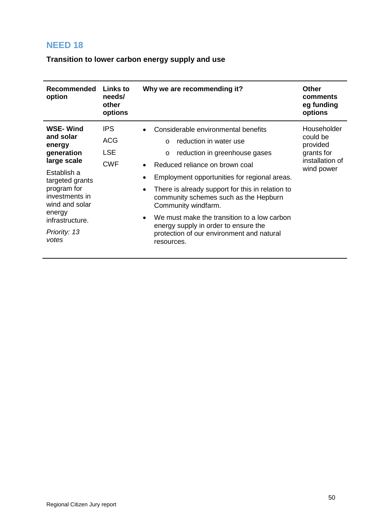<span id="page-49-0"></span>**Transition to lower carbon energy supply and use**

| <b>Recommended</b><br>Links to<br>Why we are recommending it?<br><b>Other</b><br>option<br>needs/<br>comments<br>other<br>eg funding<br>options<br>options<br><b>WSE-Wind</b><br><b>IPS</b><br>Householder<br>Considerable environmental benefits<br>could be<br>and solar<br><b>ACG</b><br>reduction in water use<br>$\Omega$<br>provided<br>energy<br><b>LSE</b><br>generation<br>grants for<br>reduction in greenhouse gases<br>$\circ$<br>installation of<br>large scale<br><b>CWF</b><br>Reduced reliance on brown coal<br>$\bullet$<br>wind power<br>Establish a |  |
|------------------------------------------------------------------------------------------------------------------------------------------------------------------------------------------------------------------------------------------------------------------------------------------------------------------------------------------------------------------------------------------------------------------------------------------------------------------------------------------------------------------------------------------------------------------------|--|
|                                                                                                                                                                                                                                                                                                                                                                                                                                                                                                                                                                        |  |
| Employment opportunities for regional areas.<br>targeted grants<br>program for<br>There is already support for this in relation to<br>$\bullet$<br>investments in<br>community schemes such as the Hepburn<br>wind and solar<br>Community windfarm.<br>energy<br>We must make the transition to a low carbon<br>infrastructure.<br>energy supply in order to ensure the<br>Priority: 13<br>protection of our environment and natural<br>votes<br>resources.                                                                                                            |  |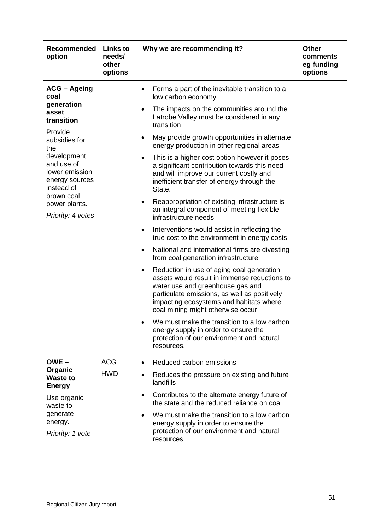| Recommended<br>option                                                       | <b>Links to</b><br>needs/<br>other<br>options | Why we are recommending it?                                                                                                                                                                                                                                   | <b>Other</b><br>comments<br>eg funding<br>options |
|-----------------------------------------------------------------------------|-----------------------------------------------|---------------------------------------------------------------------------------------------------------------------------------------------------------------------------------------------------------------------------------------------------------------|---------------------------------------------------|
| <b>ACG - Ageing</b><br>coal                                                 |                                               | Forms a part of the inevitable transition to a<br>low carbon economy                                                                                                                                                                                          |                                                   |
| generation<br>asset<br>transition                                           |                                               | The impacts on the communities around the<br>$\bullet$<br>Latrobe Valley must be considered in any<br>transition                                                                                                                                              |                                                   |
| Provide<br>subsidies for<br>the                                             |                                               | May provide growth opportunities in alternate<br>٠<br>energy production in other regional areas                                                                                                                                                               |                                                   |
| development<br>and use of<br>lower emission<br>energy sources<br>instead of |                                               | This is a higher cost option however it poses<br>a significant contribution towards this need<br>and will improve our current costly and<br>inefficient transfer of energy through the<br>State.                                                              |                                                   |
| brown coal<br>power plants.<br>Priority: 4 votes                            |                                               | Reappropriation of existing infrastructure is<br>an integral component of meeting flexible<br>infrastructure needs                                                                                                                                            |                                                   |
|                                                                             |                                               | Interventions would assist in reflecting the<br>$\bullet$<br>true cost to the environment in energy costs                                                                                                                                                     |                                                   |
|                                                                             |                                               | National and international firms are divesting<br>$\bullet$<br>from coal generation infrastructure                                                                                                                                                            |                                                   |
|                                                                             |                                               | Reduction in use of aging coal generation<br>assets would result in immense reductions to<br>water use and greenhouse gas and<br>particulate emissions, as well as positively<br>impacting ecosystems and habitats where<br>coal mining might otherwise occur |                                                   |
|                                                                             |                                               | We must make the transition to a low carbon<br>energy supply in order to ensure the<br>protection of our environment and natural<br>resources.                                                                                                                |                                                   |
| $OWE -$                                                                     | <b>ACG</b>                                    | Reduced carbon emissions                                                                                                                                                                                                                                      |                                                   |
| Organic<br><b>Waste to</b><br><b>Energy</b>                                 | <b>HWD</b>                                    | Reduces the pressure on existing and future<br>landfills                                                                                                                                                                                                      |                                                   |
| Use organic<br>waste to                                                     |                                               | Contributes to the alternate energy future of<br>the state and the reduced reliance on coal                                                                                                                                                                   |                                                   |
| generate<br>energy.<br>Priority: 1 vote                                     |                                               | We must make the transition to a low carbon<br>energy supply in order to ensure the<br>protection of our environment and natural<br>resources                                                                                                                 |                                                   |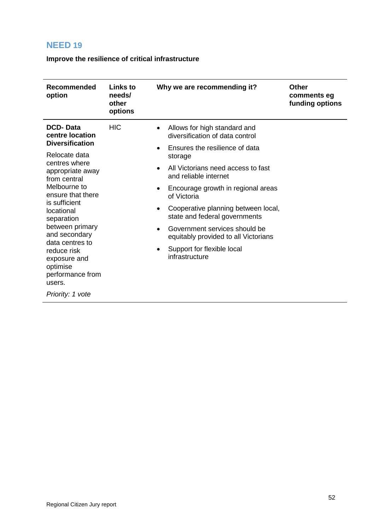<span id="page-51-0"></span>**Improve the resilience of critical infrastructure**

| <b>HIC</b><br><b>DCD-Data</b><br>Allows for high standard and<br>$\bullet$<br>centre location<br>diversification of data control<br><b>Diversification</b><br>Ensures the resilience of data<br>$\bullet$<br>Relocate data<br>storage<br>centres where<br>All Victorians need access to fast<br>appropriate away<br>and reliable internet<br>from central<br>Melbourne to<br>Encourage growth in regional areas<br>ensure that there<br>of Victoria<br>is sufficient<br>Cooperative planning between local,<br>locational<br>state and federal governments<br>separation<br>between primary<br>Government services should be<br>and secondary<br>equitably provided to all Victorians<br>data centres to<br>Support for flexible local<br>reduce risk<br>infrastructure<br>exposure and<br>optimise<br>performance from<br>users. | Recommended<br>option | Links to<br>needs/<br>other<br>options | Why we are recommending it? | Other<br>comments eg<br>funding options |
|-----------------------------------------------------------------------------------------------------------------------------------------------------------------------------------------------------------------------------------------------------------------------------------------------------------------------------------------------------------------------------------------------------------------------------------------------------------------------------------------------------------------------------------------------------------------------------------------------------------------------------------------------------------------------------------------------------------------------------------------------------------------------------------------------------------------------------------|-----------------------|----------------------------------------|-----------------------------|-----------------------------------------|
| Priority: 1 vote                                                                                                                                                                                                                                                                                                                                                                                                                                                                                                                                                                                                                                                                                                                                                                                                                  |                       |                                        |                             |                                         |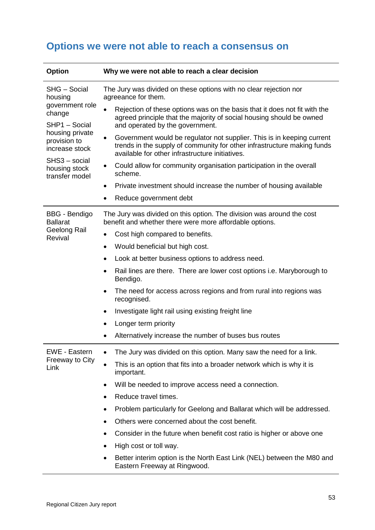<span id="page-52-0"></span>

| <b>Option</b>                                                         | Why we were not able to reach a clear decision                                                                                                                                                            |  |  |  |
|-----------------------------------------------------------------------|-----------------------------------------------------------------------------------------------------------------------------------------------------------------------------------------------------------|--|--|--|
| SHG - Social<br>housing<br>government role<br>change<br>SHP1 - Social | The Jury was divided on these options with no clear rejection nor<br>agreeance for them.                                                                                                                  |  |  |  |
|                                                                       | Rejection of these options was on the basis that it does not fit with the<br>agreed principle that the majority of social housing should be owned<br>and operated by the government.                      |  |  |  |
| housing private<br>provision to<br>increase stock                     | Government would be regulator not supplier. This is in keeping current<br>٠<br>trends in the supply of community for other infrastructure making funds<br>available for other infrastructure initiatives. |  |  |  |
| SHS3 - social<br>housing stock<br>transfer model                      | Could allow for community organisation participation in the overall<br>$\bullet$<br>scheme.                                                                                                               |  |  |  |
|                                                                       | Private investment should increase the number of housing available<br>٠                                                                                                                                   |  |  |  |
|                                                                       | Reduce government debt                                                                                                                                                                                    |  |  |  |
| <b>BBG</b> - Bendigo<br><b>Ballarat</b>                               | The Jury was divided on this option. The division was around the cost<br>benefit and whether there were more affordable options.                                                                          |  |  |  |
| Geelong Rail<br>Revival                                               | Cost high compared to benefits.<br>$\bullet$                                                                                                                                                              |  |  |  |
|                                                                       | Would beneficial but high cost.<br>$\bullet$                                                                                                                                                              |  |  |  |
|                                                                       | Look at better business options to address need.<br>٠                                                                                                                                                     |  |  |  |
|                                                                       | Rail lines are there. There are lower cost options i.e. Maryborough to<br>$\bullet$<br>Bendigo.                                                                                                           |  |  |  |
|                                                                       | The need for access across regions and from rural into regions was<br>$\bullet$<br>recognised.                                                                                                            |  |  |  |
|                                                                       | Investigate light rail using existing freight line<br>٠                                                                                                                                                   |  |  |  |
|                                                                       | Longer term priority                                                                                                                                                                                      |  |  |  |
|                                                                       | Alternatively increase the number of buses bus routes                                                                                                                                                     |  |  |  |
| <b>EWE - Eastern</b>                                                  | The Jury was divided on this option. Many saw the need for a link.                                                                                                                                        |  |  |  |
| <b>Freeway to City</b><br>Link                                        | This is an option that fits into a broader network which is why it is<br>$\bullet$<br>important.                                                                                                          |  |  |  |
|                                                                       | Will be needed to improve access need a connection.                                                                                                                                                       |  |  |  |
|                                                                       | Reduce travel times.                                                                                                                                                                                      |  |  |  |
|                                                                       | Problem particularly for Geelong and Ballarat which will be addressed.                                                                                                                                    |  |  |  |
|                                                                       | Others were concerned about the cost benefit.                                                                                                                                                             |  |  |  |
|                                                                       | Consider in the future when benefit cost ratio is higher or above one                                                                                                                                     |  |  |  |
|                                                                       | High cost or toll way.<br>٠                                                                                                                                                                               |  |  |  |
|                                                                       | Better interim option is the North East Link (NEL) between the M80 and<br>Eastern Freeway at Ringwood.                                                                                                    |  |  |  |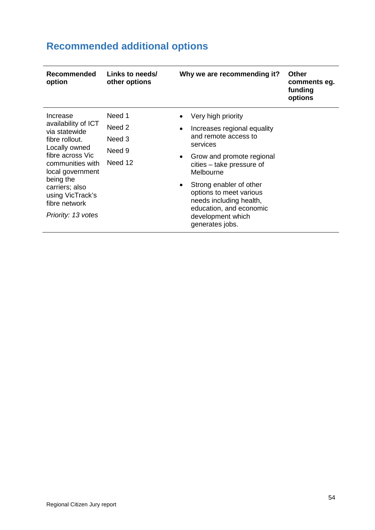| <b>Recommended</b><br>option                                                                                                                                                                                        | Links to needs/<br>other options                           | Why we are recommending it?                                                                                                                                                                                                                   | <b>Other</b><br>comments eg.<br>funding<br>options |
|---------------------------------------------------------------------------------------------------------------------------------------------------------------------------------------------------------------------|------------------------------------------------------------|-----------------------------------------------------------------------------------------------------------------------------------------------------------------------------------------------------------------------------------------------|----------------------------------------------------|
| Increase<br>availability of ICT<br>via statewide<br>fibre rollout.<br>Locally owned<br>fibre across Vic<br>communities with<br>local government<br>being the<br>carriers; also<br>using VicTrack's<br>fibre network | Need 1<br>Need <sub>2</sub><br>Need 3<br>Need 9<br>Need 12 | Very high priority<br>Increases regional equality<br>and remote access to<br>services<br>Grow and promote regional<br>cities – take pressure of<br>Melbourne<br>Strong enabler of other<br>options to meet various<br>needs including health, |                                                    |
| Priority: 13 votes                                                                                                                                                                                                  |                                                            | education, and economic<br>development which<br>generates jobs.                                                                                                                                                                               |                                                    |

# <span id="page-53-0"></span>**Recommended additional options**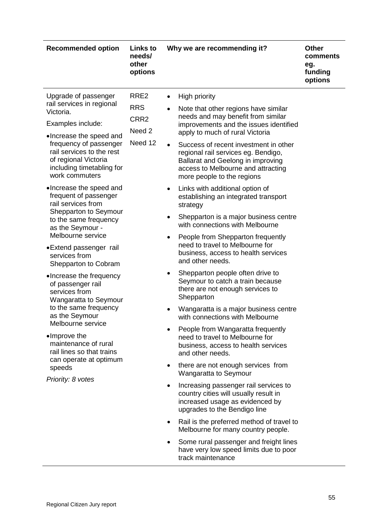| <b>Recommended option</b>                                                                                                                                                                                                                                                                                                                                                                                                                                                                                                                                                                                                                                                                                                                                                     | <b>Links to</b><br>needs/<br>other<br>options               | Why we are recommending it?                                                                                                                                                                                                                                                                                                                                                                                                                                                                                                                                                                                                                                                                                                                                                                                                                                                                                                                                                                                                                                                                                                                                                                                                                                                                                                                                                                                                                                                       | <b>Other</b><br>comments<br>eg.<br>funding<br>options |
|-------------------------------------------------------------------------------------------------------------------------------------------------------------------------------------------------------------------------------------------------------------------------------------------------------------------------------------------------------------------------------------------------------------------------------------------------------------------------------------------------------------------------------------------------------------------------------------------------------------------------------------------------------------------------------------------------------------------------------------------------------------------------------|-------------------------------------------------------------|-----------------------------------------------------------------------------------------------------------------------------------------------------------------------------------------------------------------------------------------------------------------------------------------------------------------------------------------------------------------------------------------------------------------------------------------------------------------------------------------------------------------------------------------------------------------------------------------------------------------------------------------------------------------------------------------------------------------------------------------------------------------------------------------------------------------------------------------------------------------------------------------------------------------------------------------------------------------------------------------------------------------------------------------------------------------------------------------------------------------------------------------------------------------------------------------------------------------------------------------------------------------------------------------------------------------------------------------------------------------------------------------------------------------------------------------------------------------------------------|-------------------------------------------------------|
| Upgrade of passenger<br>rail services in regional<br>Victoria.<br>Examples include:<br>•Increase the speed and<br>frequency of passenger<br>rail services to the rest<br>of regional Victoria<br>including timetabling for<br>work commuters<br>•Increase the speed and<br>frequent of passenger<br>rail services from<br>Shepparton to Seymour<br>to the same frequency<br>as the Seymour -<br>Melbourne service<br>• Extend passenger rail<br>services from<br>Shepparton to Cobram<br>•Increase the frequency<br>of passenger rail<br>services from<br>Wangaratta to Seymour<br>to the same frequency<br>as the Seymour<br>Melbourne service<br>•Improve the<br>maintenance of rural<br>rail lines so that trains<br>can operate at optimum<br>speeds<br>Priority: 8 votes | RRE <sub>2</sub><br><b>RRS</b><br>CRR2<br>Need 2<br>Need 12 | High priority<br>Note that other regions have similar<br>$\bullet$<br>needs and may benefit from similar<br>improvements and the issues identified<br>apply to much of rural Victoria<br>Success of recent investment in other<br>regional rail services eg. Bendigo,<br>Ballarat and Geelong in improving<br>access to Melbourne and attracting<br>more people to the regions<br>Links with additional option of<br>$\bullet$<br>establishing an integrated transport<br>strategy<br>Shepparton is a major business centre<br>with connections with Melbourne<br>People from Shepparton frequently<br>$\bullet$<br>need to travel to Melbourne for<br>business, access to health services<br>and other needs.<br>Shepparton people often drive to<br>Seymour to catch a train because<br>there are not enough services to<br>Shepparton<br>Wangaratta is a major business centre<br>with connections with Melbourne<br>People from Wangaratta frequently<br>need to travel to Melbourne for<br>business, access to health services<br>and other needs.<br>there are not enough services from<br>$\bullet$<br>Wangaratta to Seymour<br>Increasing passenger rail services to<br>country cities will usually result in<br>increased usage as evidenced by<br>upgrades to the Bendigo line<br>Rail is the preferred method of travel to<br>٠<br>Melbourne for many country people.<br>Some rural passenger and freight lines<br>$\bullet$<br>have very low speed limits due to poor |                                                       |
|                                                                                                                                                                                                                                                                                                                                                                                                                                                                                                                                                                                                                                                                                                                                                                               |                                                             | track maintenance                                                                                                                                                                                                                                                                                                                                                                                                                                                                                                                                                                                                                                                                                                                                                                                                                                                                                                                                                                                                                                                                                                                                                                                                                                                                                                                                                                                                                                                                 |                                                       |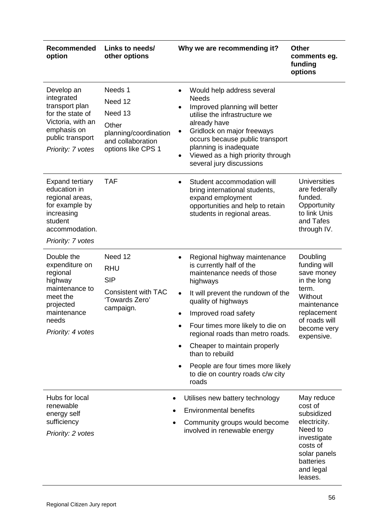| <b>Recommended</b><br>option                                                                                                                                                                                                                                          | Links to needs/<br>other options                                                                                         | Why we are recommending it?                                                                                                                                                                                                                                                                                                                                                                                                                                                    | <b>Other</b><br>comments eg.<br>funding<br>options                                                                                                    |
|-----------------------------------------------------------------------------------------------------------------------------------------------------------------------------------------------------------------------------------------------------------------------|--------------------------------------------------------------------------------------------------------------------------|--------------------------------------------------------------------------------------------------------------------------------------------------------------------------------------------------------------------------------------------------------------------------------------------------------------------------------------------------------------------------------------------------------------------------------------------------------------------------------|-------------------------------------------------------------------------------------------------------------------------------------------------------|
| Develop an<br>integrated<br>transport plan<br>for the state of<br>Victoria, with an<br>emphasis on<br>public transport<br>Priority: 7 votes<br><b>Expand tertiary</b><br>education in<br>regional areas,<br>for example by<br>increasing<br>student<br>accommodation. | Needs 1<br>Need 12<br>Need 13<br>Other<br>planning/coordination<br>and collaboration<br>options like CPS 1<br><b>TAF</b> | Would help address several<br><b>Needs</b><br>Improved planning will better<br>utilise the infrastructure we<br>already have<br>Gridlock on major freeways<br>٠<br>occurs because public transport<br>planning is inadequate<br>Viewed as a high priority through<br>$\bullet$<br>several jury discussions<br>Student accommodation will<br>$\bullet$<br>bring international students,<br>expand employment<br>opportunities and help to retain<br>students in regional areas. | <b>Universities</b><br>are federally<br>funded.<br>Opportunity<br>to link Unis<br>and Tafes<br>through IV.                                            |
| Priority: 7 votes<br>Double the<br>expenditure on<br>regional<br>highway<br>maintenance to<br>meet the<br>projected<br>maintenance<br>needs<br>Priority: 4 votes                                                                                                      | Need 12<br><b>RHU</b><br><b>SIP</b><br><b>Consistent with TAC</b><br>'Towards Zero'<br>campaign.                         | Regional highway maintenance<br>$\bullet$<br>is currently half of the<br>maintenance needs of those<br>highways<br>It will prevent the rundown of the<br>$\bullet$<br>quality of highways<br>Improved road safety<br>Four times more likely to die on<br>regional roads than metro roads.<br>Cheaper to maintain properly<br>$\bullet$<br>than to rebuild<br>People are four times more likely<br>to die on country roads c/w city<br>roads                                    | Doubling<br>funding will<br>save money<br>in the long<br>term.<br>Without<br>maintenance<br>replacement<br>of roads will<br>become very<br>expensive. |
| Hubs for local<br>renewable<br>energy self<br>sufficiency<br>Priority: 2 votes                                                                                                                                                                                        |                                                                                                                          | Utilises new battery technology<br><b>Environmental benefits</b><br>Community groups would become<br>involved in renewable energy                                                                                                                                                                                                                                                                                                                                              | May reduce<br>cost of<br>subsidized<br>electricity.<br>Need to<br>investigate<br>costs of<br>solar panels<br>batteries<br>and legal<br>leases.        |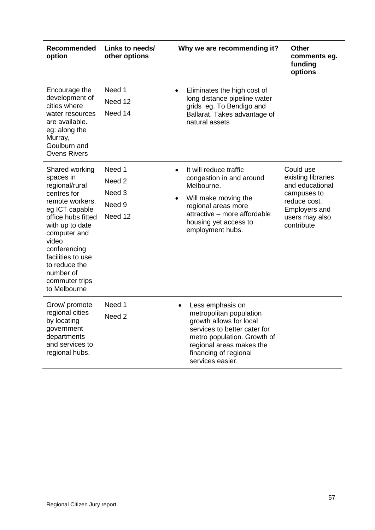| Recommended<br>option                                                                                                                                                                                                                                                    | Links to needs/<br>other options                                      | Why we are recommending it?<br><b>Other</b><br>comments eg.<br>funding<br>options                                                                                                                                                                                                                                                                                   |
|--------------------------------------------------------------------------------------------------------------------------------------------------------------------------------------------------------------------------------------------------------------------------|-----------------------------------------------------------------------|---------------------------------------------------------------------------------------------------------------------------------------------------------------------------------------------------------------------------------------------------------------------------------------------------------------------------------------------------------------------|
| Encourage the<br>development of<br>cities where<br>water resources<br>are available.<br>eg: along the<br>Murray,<br>Goulburn and<br><b>Ovens Rivers</b>                                                                                                                  | Need 1<br>Need 12<br>Need 14                                          | Eliminates the high cost of<br>$\bullet$<br>long distance pipeline water<br>grids eg. To Bendigo and<br>Ballarat. Takes advantage of<br>natural assets                                                                                                                                                                                                              |
| Shared working<br>spaces in<br>regional/rural<br>centres for<br>remote workers.<br>eg ICT capable<br>office hubs fitted<br>with up to date<br>computer and<br>video<br>conferencing<br>facilities to use<br>to reduce the<br>number of<br>commuter trips<br>to Melbourne | Need 1<br>Need <sub>2</sub><br>Need <sub>3</sub><br>Need 9<br>Need 12 | Could use<br>It will reduce traffic<br>$\bullet$<br>existing libraries<br>congestion in and around<br>and educational<br>Melbourne.<br>campuses to<br>Will make moving the<br>$\bullet$<br>reduce cost.<br>regional areas more<br><b>Employers and</b><br>attractive – more affordable<br>users may also<br>housing yet access to<br>contribute<br>employment hubs. |
| Grow/ promote<br>regional cities<br>by locating<br>government<br>departments<br>and services to<br>regional hubs.                                                                                                                                                        | Need 1<br>Need <sub>2</sub>                                           | Less emphasis on<br>$\bullet$<br>metropolitan population<br>growth allows for local<br>services to better cater for<br>metro population. Growth of<br>regional areas makes the<br>financing of regional<br>services easier.                                                                                                                                         |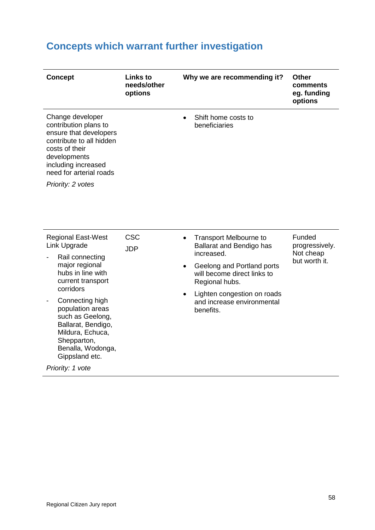# <span id="page-57-0"></span>**Concepts which warrant further investigation**

| <b>Concept</b>                                                                                                                                                                                           | <b>Links to</b><br>needs/other<br>options | Why we are recommending it?                                                         | <b>Other</b><br>comments<br>eg. funding<br>options |
|----------------------------------------------------------------------------------------------------------------------------------------------------------------------------------------------------------|-------------------------------------------|-------------------------------------------------------------------------------------|----------------------------------------------------|
| Change developer<br>contribution plans to<br>ensure that developers<br>contribute to all hidden<br>costs of their<br>developments<br>including increased<br>need for arterial roads<br>Priority: 2 votes |                                           | Shift home costs to<br>beneficiaries                                                |                                                    |
| <b>Regional East-West</b><br>Link Upgrade                                                                                                                                                                | <b>CSC</b><br><b>JDP</b>                  | <b>Transport Melbourne to</b><br>Ballarat and Bendigo has                           | Funded<br>progressively.                           |
| Rail connecting                                                                                                                                                                                          |                                           | increased.                                                                          | Not cheap<br>but worth it.                         |
| major regional<br>hubs in line with<br>current transport                                                                                                                                                 |                                           | Geelong and Portland ports<br>will become direct links to<br>Regional hubs.         |                                                    |
| corridors<br>Connecting high<br>population areas<br>such as Geelong,<br>Ballarat, Bendigo,<br>Mildura, Echuca,<br>Shepparton,<br>Benalla, Wodonga,<br>Gippsland etc.                                     |                                           | Lighten congestion on roads<br>$\bullet$<br>and increase environmental<br>benefits. |                                                    |
| Priority: 1 vote                                                                                                                                                                                         |                                           |                                                                                     |                                                    |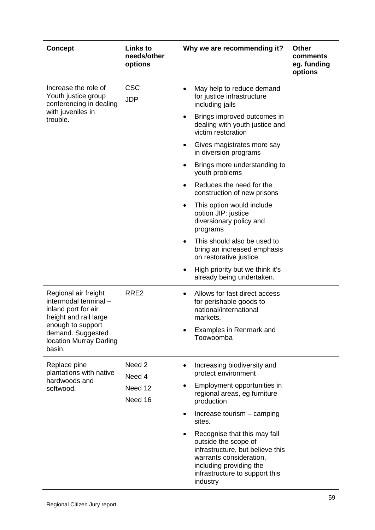| <b>Concept</b>                                                                                                                                                                | Links to<br>needs/other<br>options | Why we are recommending it?                                                                                                                                                                  | <b>Other</b><br>comments<br>eg. funding<br>options |
|-------------------------------------------------------------------------------------------------------------------------------------------------------------------------------|------------------------------------|----------------------------------------------------------------------------------------------------------------------------------------------------------------------------------------------|----------------------------------------------------|
| Increase the role of<br>Youth justice group<br>conferencing in dealing                                                                                                        | <b>CSC</b><br><b>JDP</b>           | May help to reduce demand<br>for justice infrastructure<br>including jails                                                                                                                   |                                                    |
| with juveniles in<br>trouble.                                                                                                                                                 |                                    | Brings improved outcomes in<br>dealing with youth justice and<br>victim restoration                                                                                                          |                                                    |
|                                                                                                                                                                               |                                    | Gives magistrates more say<br>in diversion programs                                                                                                                                          |                                                    |
|                                                                                                                                                                               |                                    | Brings more understanding to<br>youth problems                                                                                                                                               |                                                    |
|                                                                                                                                                                               |                                    | Reduces the need for the<br>$\bullet$<br>construction of new prisons                                                                                                                         |                                                    |
|                                                                                                                                                                               |                                    | This option would include<br>$\bullet$<br>option JIP: justice<br>diversionary policy and<br>programs                                                                                         |                                                    |
|                                                                                                                                                                               |                                    | This should also be used to<br>bring an increased emphasis<br>on restorative justice.                                                                                                        |                                                    |
|                                                                                                                                                                               |                                    | High priority but we think it's<br>already being undertaken.                                                                                                                                 |                                                    |
| Regional air freight<br>intermodal terminal -<br>inland port for air<br>freight and rail large<br>enough to support<br>demand. Suggested<br>location Murray Darling<br>basin. | RRE <sub>2</sub>                   | Allows for fast direct access<br>for perishable goods to<br>national/international<br>markets.                                                                                               |                                                    |
|                                                                                                                                                                               |                                    | Examples in Renmark and<br>Toowoomba                                                                                                                                                         |                                                    |
| Replace pine<br>plantations with native                                                                                                                                       | Need 2<br>Need 4                   | Increasing biodiversity and<br>$\bullet$<br>protect environment                                                                                                                              |                                                    |
| hardwoods and<br>softwood.                                                                                                                                                    | Need 12<br>Need 16                 | Employment opportunities in<br>regional areas, eg furniture<br>production                                                                                                                    |                                                    |
|                                                                                                                                                                               |                                    | Increase tourism – camping<br>٠<br>sites.                                                                                                                                                    |                                                    |
|                                                                                                                                                                               |                                    | Recognise that this may fall<br>outside the scope of<br>infrastructure, but believe this<br>warrants consideration,<br>including providing the<br>infrastructure to support this<br>industry |                                                    |